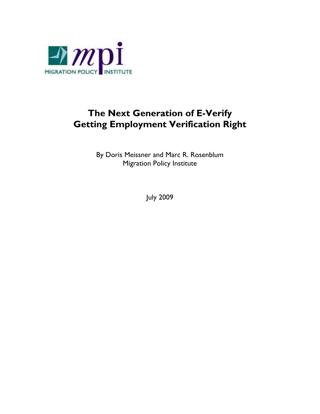

# **The Next Generation of E-Verify Getting Employment Verification Right**

By Doris Meissner and Marc R. Rosenblum Migration Policy Institute

July 2009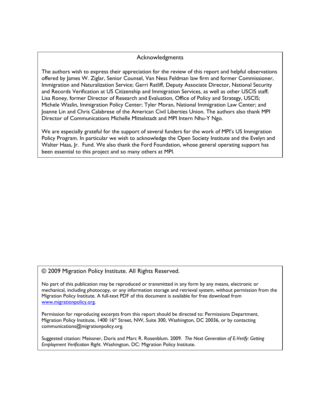#### Acknowledgments

The authors wish to express their appreciation for the review of this report and helpful observations offered by James W. Ziglar, Senior Counsel, Van Ness Feldman law firm and former Commissioner, Immigration and Naturalization Service; Gerri Ratliff, Deputy Associate Director, National Security and Records Verification at US Citizenship and Immigration Services, as well as other USCIS staff; Lisa Roney, former Director of Research and Evaluation, Office of Policy and Strategy, USCIS; Michele Waslin, Immigration Policy Center; Tyler Moran, National Immigration Law Center; and Joanne Lin and Chris Calabrese of the American Civil Liberties Union. The authors also thank MPI Director of Communications Michelle Mittelstadt and MPI Intern Nhu-Y Ngo.

We are especially grateful for the support of several funders for the work of MPI's US Immigration Policy Program. In particular we wish to acknowledge the Open Society Institute and the Evelyn and Walter Haas, Jr. Fund. We also thank the Ford Foundation, whose general operating support has been essential to this project and so many others at MPI.

#### © 2009 Migration Policy Institute. All Rights Reserved.

No part of this publication may be reproduced or transmitted in any form by any means, electronic or mechanical, including photocopy, or any information storage and retrieval system, without permission from the Migration Policy Institute. A full-text PDF of this document is available for free download from www.migrationpolicy.org.

Permission for reproducing excerpts from this report should be directed to: Permissions Department, Migration Policy Institute, 1400 16<sup>th</sup> Street, NW, Suite 300, Washington, DC 20036, or by contacting communications@migrationpolicy.org.

Suggested citation: Meissner, Doris and Marc R. Rosenblum. 2009. *The Next Generation of E-Verify: Getting Employment Verification Right*. Washington, DC: Migration Policy Institute.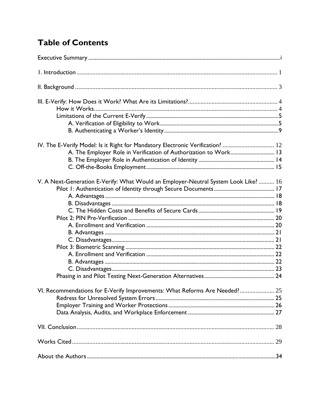# **Table of Contents**

| IV. The E-Verify Model: Is it Right for Mandatory Electronic Verification?  12      |  |
|-------------------------------------------------------------------------------------|--|
| A. The Employer Role in Verification of Authorization to Work 13                    |  |
|                                                                                     |  |
|                                                                                     |  |
| V. A Next-Generation E-Verify: What Would an Employer-Neutral System Look Like?  16 |  |
|                                                                                     |  |
|                                                                                     |  |
|                                                                                     |  |
|                                                                                     |  |
|                                                                                     |  |
|                                                                                     |  |
|                                                                                     |  |
|                                                                                     |  |
|                                                                                     |  |
|                                                                                     |  |
|                                                                                     |  |
|                                                                                     |  |
|                                                                                     |  |
| VI. Recommendations for E-Verify Improvements: What Reforms Are Needed? 25          |  |
|                                                                                     |  |
|                                                                                     |  |
|                                                                                     |  |
|                                                                                     |  |
|                                                                                     |  |
|                                                                                     |  |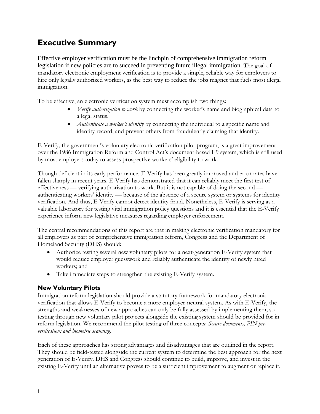# **Executive Summary**

Effective employer verification must be the linchpin of comprehensive immigration reform legislation if new policies are to succeed in preventing future illegal immigration. The goal of mandatory electronic employment verification is to provide a simple, reliable way for employers to hire only legally authorized workers, as the best way to reduce the jobs magnet that fuels most illegal immigration.

To be effective, an electronic verification system must accomplish two things:

- *Verify authorization to work* by connecting the worker's name and biographical data to a legal status.
- *Authenticate a worker's identity* by connecting the individual to a specific name and identity record, and prevent others from fraudulently claiming that identity.

E-Verify, the government's voluntary electronic verification pilot program, is a great improvement over the 1986 Immigration Reform and Control Act's document-based I-9 system, which is still used by most employers today to assess prospective workers' eligibility to work.

Though deficient in its early performance, E-Verify has been greatly improved and error rates have fallen sharply in recent years. E-Verify has demonstrated that it can reliably meet the first test of effectiveness — verifying authorization to work. But it is not capable of doing the second authenticating workers' identity — because of the absence of a secure system or systems for identity verification. And thus, E-Verify cannot detect identity fraud. Nonetheless, E-Verify is serving as a valuable laboratory for testing vital immigration policy questions and it is essential that the E-Verify experience inform new legislative measures regarding employer enforcement.

The central recommendations of this report are that in making electronic verification mandatory for all employers as part of comprehensive immigration reform, Congress and the Department of Homeland Security (DHS) should:

- Authorize testing several new voluntary pilots for a next-generation E-Verify system that would reduce employer guesswork and reliably authenticate the identity of newly hired workers; and
- Take immediate steps to strengthen the existing E-Verify system.

#### **New Voluntary Pilots**

Immigration reform legislation should provide a statutory framework for mandatory electronic verification that allows E-Verify to become a more employer-neutral system. As with E-Verify, the strengths and weaknesses of new approaches can only be fully assessed by implementing them, so testing through new voluntary pilot projects alongside the existing system should be provided for in reform legislation. We recommend the pilot testing of three concepts: *Secure documents; PIN preverification; and biometric scanning.* 

Each of these approaches has strong advantages and disadvantages that are outlined in the report. They should be field-tested alongside the current system to determine the best approach for the next generation of E-Verify. DHS and Congress should continue to build, improve, and invest in the existing E-Verify until an alternative proves to be a sufficient improvement to augment or replace it.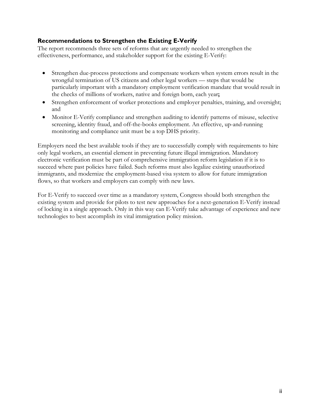#### **Recommendations to Strengthen the Existing E-Verify**

The report recommends three sets of reforms that are urgently needed to strengthen the effectiveness, performance, and stakeholder support for the existing E-Verify:

- Strengthen due-process protections and compensate workers when system errors result in the wrongful termination of US citizens and other legal workers — steps that would be particularly important with a mandatory employment verification mandate that would result in the checks of millions of workers, native and foreign born, each year**;**
- Strengthen enforcement of worker protections and employer penalties, training, and oversight; and
- Monitor E-Verify compliance and strengthen auditing to identify patterns of misuse, selective screening, identity fraud, and off-the-books employment. An effective, up-and-running monitoring and compliance unit must be a top DHS priority.

Employers need the best available tools if they are to successfully comply with requirements to hire only legal workers, an essential element in preventing future illegal immigration. Mandatory electronic verification must be part of comprehensive immigration reform legislation if it is to succeed where past policies have failed. Such reforms must also legalize existing unauthorized immigrants, and modernize the employment-based visa system to allow for future immigration flows, so that workers and employers can comply with new laws.

For E-Verify to succeed over time as a mandatory system, Congress should both strengthen the existing system and provide for pilots to test new approaches for a next-generation E-Verify instead of locking in a single approach. Only in this way can E-Verify take advantage of experience and new technologies to best accomplish its vital immigration policy mission.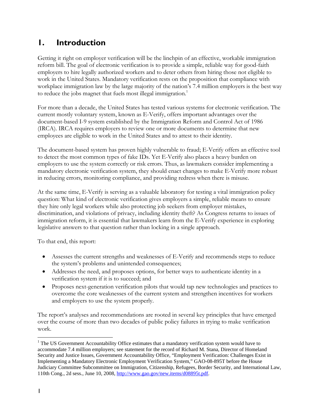## **1. Introduction**

Getting it right on employer verification will be the linchpin of an effective, workable immigration reform bill. The goal of electronic verification is to provide a simple, reliable way for good-faith employers to hire legally authorized workers and to deter others from hiring those not eligible to work in the United States. Mandatory verification rests on the proposition that compliance with workplace immigration law by the large majority of the nation's 7.4 million employers is the best way to reduce the jobs magnet that fuels most illegal immigration.<sup>1</sup>

For more than a decade, the United States has tested various systems for electronic verification. The current mostly voluntary system, known as E-Verify, offers important advantages over the document-based I-9 system established by the Immigration Reform and Control Act of 1986 (IRCA). IRCA requires employers to review one or more documents to determine that new employees are eligible to work in the United States and to attest to their identity.

The document-based system has proven highly vulnerable to fraud; E-Verify offers an effective tool to detect the most common types of fake IDs. Yet E-Verify also places a heavy burden on employers to use the system correctly or risk errors. Thus, as lawmakers consider implementing a mandatory electronic verification system, they should enact changes to make E-Verify more robust in reducing errors, monitoring compliance, and providing redress when there is misuse.

At the same time, E-Verify is serving as a valuable laboratory for testing a vital immigration policy question: What kind of electronic verification gives employers a simple, reliable means to ensure they hire only legal workers while also protecting job seekers from employer mistakes, discrimination, and violations of privacy, including identity theft? As Congress returns to issues of immigration reform, it is essential that lawmakers learn from the E-Verify experience in exploring legislative answers to that question rather than locking in a single approach.

To that end, this report:

- Assesses the current strengths and weaknesses of E-Verify and recommends steps to reduce the system's problems and unintended consequences;
- Addresses the need, and proposes options, for better ways to authenticate identity in a verification system if it is to succeed; and
- Proposes next-generation verification pilots that would tap new technologies and practices to overcome the core weaknesses of the current system and strengthen incentives for workers and employers to use the system properly.

The report's analyses and recommendations are rooted in several key principles that have emerged over the course of more than two decades of public policy failures in trying to make verification work.

 $\overline{a}$ 

<sup>&</sup>lt;sup>1</sup> The US Government Accountability Office estimates that a mandatory verification system would have to accommodate 7.4 million employers; see statement for the record of Richard M. Stana, Director of Homeland Security and Justice Issues, Government Accountability Office, "Employment Verification: Challenges Exist in Implementing a Mandatory Electronic Employment Verification System," GAO-08-895T before the House Judiciary Committee Subcommittee on Immigration, Citizenship, Refugees, Border Security, and International Law, 110th Cong., 2d sess., June 10, 2008, http://www.gao.gov/new.items/d08895t.pdf.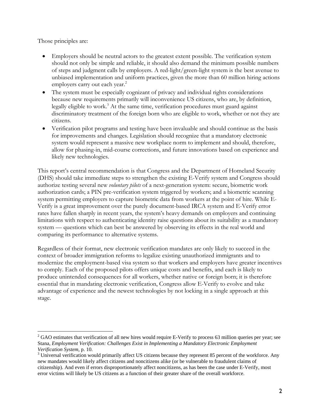Those principles are:

 $\overline{a}$ 

- Employers should be neutral actors to the greatest extent possible. The verification system should not only be simple and reliable, it should also demand the minimum possible numbers of steps and judgment calls by employers. A red-light/green-light system is the best avenue to unbiased implementation and uniform practices, given the more than 60 million hiring actions employers carry out each year.<sup>2</sup>
- The system must be especially cognizant of privacy and individual rights considerations because new requirements primarily will inconvenience US citizens, who are, by definition, legally eligible to work.<sup>3</sup> At the same time, verification procedures must guard against discriminatory treatment of the foreign born who are eligible to work, whether or not they are citizens.
- Verification pilot programs and testing have been invaluable and should continue as the basis for improvements and changes. Legislation should recognize that a mandatory electronic system would represent a massive new workplace norm to implement and should, therefore, allow for phasing-in, mid-course corrections, and future innovations based on experience and likely new technologies.

This report's central recommendation is that Congress and the Department of Homeland Security (DHS) should take immediate steps to strengthen the existing E-Verify system and Congress should authorize testing several new *voluntary pilots* of a next-generation system: secure, biometric work authorization cards; a PIN pre-verification system triggered by workers; and a biometric scanning system permitting employers to capture biometric data from workers at the point of hire. While E-Verify is a great improvement over the purely document-based IRCA system and E-Verify error rates have fallen sharply in recent years, the system's heavy demands on employers and continuing limitations with respect to authenticating identity raise questions about its suitability as a mandatory system — questions which can best be answered by observing its effects in the real world and comparing its performance to alternative systems.

Regardless of their format, new electronic verification mandates are only likely to succeed in the context of broader immigration reforms to legalize existing unauthorized immigrants and to modernize the employment-based visa system so that workers and employers have greater incentives to comply. Each of the proposed pilots offers unique costs and benefits, and each is likely to produce unintended consequences for all workers, whether native or foreign born; it is therefore essential that in mandating electronic verification, Congress allow E-Verify to evolve and take advantage of experience and the newest technologies by not locking in a single approach at this stage.

 $2$  GAO estimates that verification of all new hires would require E-Verify to process 63 million queries per year; see Stana, *Employment Verification: Challenges Exist in Implementing a Mandatory Electronic Employment Verification System, p. 10.* 

<sup>&</sup>lt;sup>3</sup> Universal verification would primarily affect US citizens because they represent 85 percent of the workforce. Any new mandates would likely affect citizens and noncitizens alike (or be vulnerable to fraudulent claims of citizenship). And even if errors disproportionately affect noncitizens, as has been the case under E-Verify, most error victims will likely be US citizens as a function of their greater share of the overall workforce.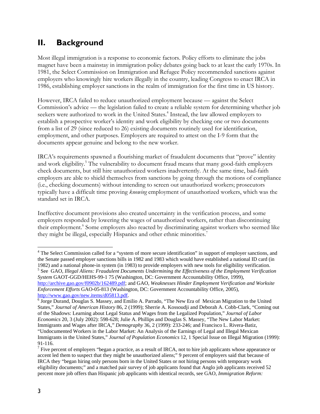# **II. Background**

Most illegal immigration is a response to economic factors. Policy efforts to eliminate the jobs magnet have been a mainstay in immigration policy debates going back to at least the early 1970s. In 1981, the Select Commission on Immigration and Refugee Policy recommended sanctions against employers who knowingly hire workers illegally in the country, leading Congress to enact IRCA in 1986, establishing employer sanctions in the realm of immigration for the first time in US history.

However, IRCA failed to reduce unauthorized employment because — against the Select Commission's advice — the legislation failed to create a reliable system for determining whether job seekers were authorized to work in the United States.<sup>4</sup> Instead, the law allowed employers to establish a prospective worker's identity and work eligibility by checking one or two documents from a list of 29 (since reduced to 26) existing documents routinely used for identification, employment, and other purposes. Employers are required to attest on the I-9 form that the documents appear genuine and belong to the new worker.

IRCA's requirements spawned a flourishing market of fraudulent documents that "prove" identity and work eligibility.<sup>5</sup> The vulnerability to document fraud means that many good-faith employers check documents, but still hire unauthorized workers inadvertently. At the same time, bad-faith employers are able to shield themselves from sanctions by going through the motions of compliance (i.e., checking documents) without intending to screen out unauthorized workers; prosecutors typically have a difficult time proving *knowing* employment of unauthorized workers, which was the standard set in IRCA.

Ineffective document provisions also created uncertainty in the verification process, and some employers responded by lowering the wages of unauthorized workers, rather than discontinuing their employment.<sup>6</sup> Some employers also reacted by discriminating against workers who seemed like they might be illegal, especially Hispanics and other ethnic minorities.<sup>7</sup>

http://archive.gao.gov/f0902b/162489.pdf; and GAO, *Weaknesses Hinder Employment Verification and Worksite Enforcement Efforts* GAO-05-813 (Washington, DC: Government Accountability Office, 2005),

 $\overline{a}$ <sup>4</sup> The Select Commission called for a "system of more secure identification" in support of employer sanctions, and the Senate passed employer sanctions bills in 1982 and 1983 which would have established a national ID card (in 1982) and a national phone-in system (in 1983) to provide employers with new tools for eligibility verification. 5 See GAO, *Illegal Aliens: Fraudulent Documents Undermining the Effectiveness of the Employment Verification System* GAOT-GGD/HEHS-99-1 75 (Washington, DC: Government Accountability Office, 1999),

http://www.gao.gov/new.items/d05813.pdf.<br><sup>6</sup> Jorge Durand, Douglas S. Massey, and Emilio A. Parrado, "The New Era of Mexican Migration to the United States," *Journal of American History* 86, 2 (1999); Sherrie A. Kossoudji and Deborah A. Cobb-Clark, "Coming out of the Shadows: Learning about Legal Status and Wages from the Legalized Population," *Journal of Labor Economics* 20, 3 (July 2002): 598-628; Julie A. Phillips and Douglas S. Massey, "The New Labor Market: Immigrants and Wages after IRCA," *Demography* 36, 2 (1999): 233-246; and Francisco L. Rivera-Batiz, "Undocumented Workers in the Labor Market: An Analysis of the Earnings of Legal and Illegal Mexican Immigrants in the United States," *Journal of Population Economics* 12, 1 Special Issue on Illegal Migration (1999): 91-116.

<sup>&</sup>lt;sup>7</sup> Five percent of employers "began a practice, as a result of IRCA, not to hire job applicants whose appearance or accent led them to suspect that they might be unauthorized aliens;" 9 percent of employers said that because of IRCA they "began hiring only persons born in the United States or not hiring persons with temporary work eligibility documents;" and a matched pair survey of job applicants found that Anglo job applicants received 52 percent more job offers than Hispanic job applicants with identical records, see GAO, *Immigration Reform:*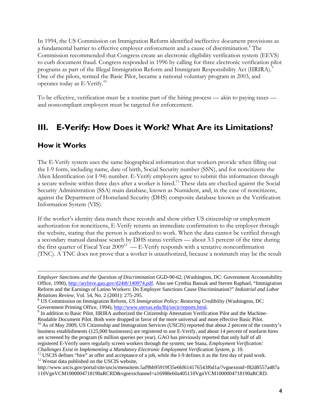In 1994, the US Commission on Immigration Reform identified ineffective document provisions as a fundamental barrier to effective employer enforcement and a cause of discrimination.<sup>8</sup> The Commission recommended that Congress create an electronic eligibility verification system (EEVS) to curb document fraud. Congress responded in 1996 by calling for three electronic verification pilot programs as part of the Illegal Immigration Reform and Immigrant Responsibility Act (IIRIRA).<sup>9</sup> One of the pilots, termed the Basic Pilot, became a national voluntary program in 2003, and operates today as E-Verify.<sup>10</sup>

To be effective, verification must be a routine part of the hiring process — akin to paying taxes and noncompliant employers must be targeted for enforcement.

## **III. E-Verify: How Does it Work? What Are its Limitations?**

### **How it Works**

1

The E-Verify system uses the same biographical information that workers provide when filling out the I-9 form, including name, date of birth, Social Security number (SSN), and for noncitizens the Alien Identification (or I-94) number. E-Verify employers agree to submit this information through a secure website within three days after a worker is hired.11 These data are checked against the Social Security Administration (SSA) main database, known as Numident, and, in the case of noncitizens, against the Department of Homeland Security (DHS) composite database known as the Verification Information System (VIS).

If the worker's identity data match these records and show either US citizenship or employment authorization for noncitizens, E-Verify returns an immediate confirmation to the employer through the website, stating that the person is authorized to work. When the data cannot be verified through a secondary manual database search by DHS status verifiers — about 3.1 percent of the time during the first quarter of Fiscal Year  $2009^{12}$  — E-Verify responds with a tentative nonconfirmation (TNC). A TNC does not prove that a worker is unauthorized, because a nonmatch may be the result

*Employer Sanctions and the Question of Discrimination* GGD-90-62, (Washington, DC: Government Accountability Office, 1990), http://archive.gao.gov/d24t8/140974.pdf. Also see Cynthia Bansak and Steven Raphael, "Immigration Reform and the Earnings of Latino Workers: Do Employer Sanctions Cause Discrimination?" *Industrial and Labor Relations Review, Vol. 54, No. 2 (2001): 275-295.* 

US Commission on Immigration Reform, *US Immigration Policy: Restoring Credibility* (Washington, DC: Government Printing Office, 1994), http://www.utexas.edu/lbj/uscir/reports.html.

<sup>&</sup>lt;sup>9</sup> In addition to Basic Pilot, IIRIRA authorized the Citizenship Attestation Verification Pilot and the Machine-

Readable Document Pilot. Both were dropped in favor of the more universal and more effective Basic Pilot.<br><sup>10</sup> As of May 2009, US Citizenship and Immigration Services (USCIS) reported that about 2 percent of the country's business establishments (125,000 businesses) are registered to use E-Verify, and about 14 percent of nonfarm hires are screened by the program (6 million queries per year). GAO has previously reported that only half of all registered E-Verify users regularly screen workers through the system; see Stana, *Employment Verification:* 

Challenges Exist in Implementing a Mandatory Electronic Employment Verification System, p. 10.<br><sup>11</sup> USCIS defines "hire" as offer and acceptance of a job, while the I-9 defines it as the first day of paid work.<br><sup>12</sup> Westat

http://www.uscis.gov/portal/site/uscis/menuitem.5af9bb95919f35e66f614176543f6d1a/?vgnextoid=f82d8557a487a 110VgnVCM1000004718190aRCRD&vgnextchannel=a16988e60a405110VgnVCM1000004718190aRCRD.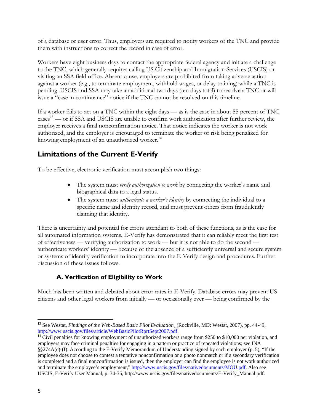of a database or user error. Thus, employers are required to notify workers of the TNC and provide them with instructions to correct the record in case of error.

Workers have eight business days to contact the appropriate federal agency and initiate a challenge to the TNC, which generally requires calling US Citizenship and Immigration Services (USCIS) or visiting an SSA field office. Absent cause, employers are prohibited from taking adverse action against a worker (e.g., to terminate employment, withhold wages, or delay training) while a TNC is pending. USCIS and SSA may take an additional two days (ten days total) to resolve a TNC or will issue a "case in continuance" notice if the TNC cannot be resolved on this timeline.

If a worker fails to act on a TNC within the eight days — as is the case in about 85 percent of TNC cases<sup>13</sup> — or if SSA and USCIS are unable to confirm work authorization after further review, the employer receives a final nonconfirmation notice. That notice indicates the worker is not work authorized, and the employer is encouraged to terminate the worker or risk being penalized for knowing employment of an unauthorized worker.<sup>14</sup>

## **Limitations of the Current E-Verify**

To be effective, electronic verification must accomplish two things:

- The system must *verify authorization to work* by connecting the worker's name and biographical data to a legal status.
- The system must *authenticate a worker's identity* by connecting the individual to a specific name and identity record, and must prevent others from fraudulently claiming that identity.

There is uncertainty and potential for errors attendant to both of these functions, as is the case for all automated information systems. E-Verify has demonstrated that it can reliably meet the first test of effectiveness — verifying authorization to work — but it is not able to do the second authenticate workers' identity — because of the absence of a sufficiently universal and secure system or systems of identity verification to incorporate into the E-Verify design and procedures. Further discussion of these issues follows.

## **A. Verification of Eligibility to Work**

Much has been written and debated about error rates in E-Verify. Database errors may prevent US citizens and other legal workers from initially — or occasionally ever — being confirmed by the

 $\overline{a}$ 13 See Westat, *Findings of the Web-Based Basic Pilot Evaluation¸* (Rockville, MD: Westat, 2007), pp. 44-49, http://www.uscis.gov/files/article/WebBasicPilotRprtSept2007.pdf.<br><sup>14</sup> Civil penalties for knowing employment of unauthorized workers range from \$250 to \$10,000 per violation, and

employers may face criminal penalties for engaging in a pattern or practice of repeated violations; see INA §§274A(e)-(f). According to the E-Verify Memorandum of Understanding signed by each employer (p. 5), "If the employee does not choose to contest a tentative nonconfirmation or a photo nonmatch or if a secondary verification is completed and a final nonconfirmation is issued, then the employer can find the employee is not work authorized and terminate the employee's employment," http://www.uscis.gov/files/nativedocuments/MOU.pdf. Also see USCIS, E-Verify User Manual, p. 34-35, http://www.uscis.gov/files/nativedocuments/E-Verify\_Manual.pdf.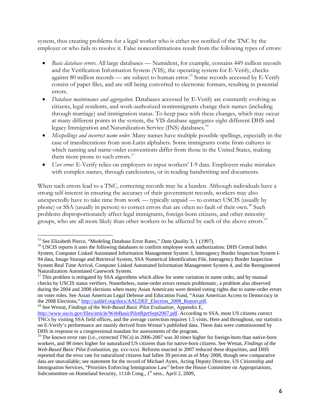system, thus creating problems for a legal worker who is either not notified of the TNC by the employer or who fails to resolve it. False nonconfirmations result from the following types of errors:

- *Basic database errors*. All large databases Numident, for example, contains 449 million records and the Verification Information System (VIS), the operating system for E-Verify, checks against 80 million records — are subject to human error.<sup>15</sup> Some records accessed by E-Verify consist of paper files, and are still being converted to electronic formats, resulting in potential errors.
- *Database maintenance and aggregation*. Databases accessed by E-Verify are constantly evolving as citizens, legal residents, and work-authorized nonimmigrants change their names (including through marriage) and immigration status. To keep pace with these changes, which may occur at many different points in the system, the VIS database aggregates eight different DHS and legacy Immigration and Naturalization Service (INS) databases.<sup>16</sup>
- *Misspellings and incorrect name order*. Many names have multiple possible spellings, especially in the case of transliterations from non-Latin alphabets. Some immigrants come from cultures in which naming and name-order conventions differ from those in the United States, making them more prone to such errors.<sup>17</sup>
- *User error*. E-Verify relies on employers to input workers' I-9 data. Employers make mistakes with complex names, through carelessness, or in reading handwriting and documents.

When such errors lead to a TNC, correcting records may be a burden. Although individuals have a strong self-interest in ensuring the accuracy of their government records, workers may also unexpectedly have to take time from work — typically unpaid — to contact USCIS (usually by phone) or SSA (usually in person) to correct errors that are often no fault of their own.<sup>18</sup> Such problems disproportionately affect legal immigrants, foreign-born citizens, and other minority groups, who are all more likely than other workers to be affected by each of the above errors.<sup>19</sup>

1

<sup>&</sup>lt;sup>15</sup> See Elizabeth Pierce, "Modeling Database Error Rates," *Data Quality* 3, 1 (1997).<br><sup>16</sup> USCIS reports it uses the following databases to confirm employee work authorization: DHS Central Index System, Computer Linked Automated Information Management System 3, Interagency Border Inspection System I-94 data, Image Storage and Retrieval System, SSA Numerical Identification File, Interagency Border Inspection System Real Time Arrival, Computer Linked Automated Information Management System 4, and the Reengineered Naturalization Automated Casework System.

<sup>&</sup>lt;sup>17</sup> This problem is mitigated by SSA algorithms which allow for some variation in name order, and by manual checks by USCIS status verifiers. Nonetheless, name-order errors remain problematic, a problem also observed during the 2004 and 2008 elections when many Asian Americans were denied voting rights due to name-order errors on voter roles. See Asian American Legal Defense and Education Fund, "Asian American Access to Democracy in the 2008 Elections," http://aaldef.org/docs/AALDEF\_Election\_2008\_Report.pdf. <sup>18</sup> See Westat, *Findings of the Web-Based Basic Pilot Evaluation*, Appendix E,

http://www.uscis.gov/files/article/WebBasicPilotRprtSept2007.pdf. According to SSA, most US citizens correct TNCs by visiting SSA field offices, and the average correction requires 1.5 visits. Here and throughout, our statistics on E-Verify's performance are mainly derived from Westat's published data. These data were commissioned by DHS in response to a congressional mandate for assessments of the program.

<sup>&</sup>lt;sup>19</sup> The known error rate (i.e., corrected TNCs) in 2006-2007 was 30 times higher for foreign-born than native-born workers, and *98 times* higher for naturalized US citizens than for native-born citizens. See Westat, *Findings of the Web-Based Basic Pilot Evaluation*, pp. xxv-xxvi. Reforms enacted in 2007 reduced these disparities, and DHS reported that the error rate for naturalized citizens had fallen 39 percent as of May 2008, though new comparative data are unavailable; see statement for the record of Michael Aytes, Acting Deputy Director, US Citizenship and Immigration Services, "Priorities Enforcing Immigration Law" before the House Committee on Appropriations, Subcommittee on Homeland Security, 111th Cong., 1<sup>st</sup> sess., April 2, 2009,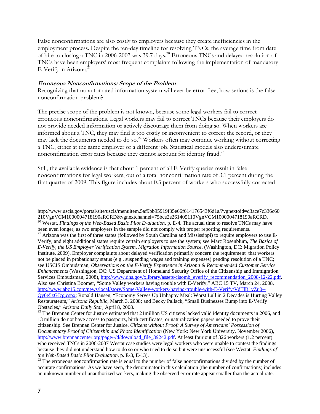False nonconfirmations are also costly to employers because they create inefficiencies in the employment process. Despite the ten-day timeline for resolving TNCs, the average time from date of hire to closing a TNC in 2006-2007 was 39.7 days.<sup>20</sup> Erroneous TNCs and delayed resolution of TNCs have been employers' most frequent complaints following the implementation of mandatory E-Verify in Arizona.<sup>21</sup>

#### **Erroneous Nonconfirmations: Scope of the Problem**

Recognizing that no automated information system will ever be error-free, how serious is the false nonconfirmation problem?

The precise scope of the problem is not known, because some legal workers fail to correct erroneous nonconfirmations. Legal workers may fail to correct TNCs because their employers do not provide needed information or actively discourage them from doing so. When workers are informed about a TNC, they may find it too costly or inconvenient to correct the record, or they may lack the documents needed to do so.<sup>22</sup> Workers often may continue working without correcting a TNC, either at the same employer or a different job. Statistical models also underestimate nonconfirmation error rates because they cannot account for identity fraud.<sup>23</sup>

Still, the available evidence is that about 1 percent of all E-Verify queries result in false nonconfirmations for legal workers, out of a total nonconfirmation rate of 3.1 percent during the first quarter of 2009. This figure includes about 0.3 percent of workers who successfully corrected

http://www.uscis.gov/portal/site/uscis/menuitem.5af9bb95919f35e66f614176543f6d1a/?vgnextoid=d3ace7c336c60 210VgnVCM1000004718190aRCRD&vgnextchannel=75bce2e261405110VgnVCM1000004718190aRCRD. 20 Westat, *Findings of the Web-Based Basic Pilot Evaluation*, p. E-4. The actual time to resolve TNCs may have been even longer, as two employers in the sample did not comply with proper reporting requirements.<br><sup>21</sup> Arizona was the first of three states (followed by South Carolina and Mississippi) to require employers to use E-Verify, and eight additional states require certain employers to use the system; see Marc Rosenblum, *The Basics of E-Verify, the US Employer Verification System, Migration Information Source,* (Washington, DC: Migration Policy Institute, 2009). Employer complaints about delayed verification primarily concern the requirement that workers not be placed in probationary status (e.g., suspending wages and training expenses) pending resolution of a TNC; see USCIS Ombudsman, *Observations on the E-Verify Experience in Arizona & Recommended Customer Service Enhancements* (Washington, DC: US Department of Homeland Security Office of the Citizenship and Immigration Services Ombudsman, 2008), http://www.dhs.gov/xlibrary/assets/cisomb\_everify\_recommendation\_2008-12-22.pdf. Also see Christina Boomer, "Some Valley workers having trouble with E-Verify," ABC 15 TV, March 24, 2008, http://www.abc15.com/news/local/story/Some-Valley-workers-having-trouble-with-E-Verify/VdTlB1vZu0-- Qy0e5zGJcg.cspx; Ronald Hansen, "Economy Serves Up Unhappy Meal: Worst Lull in 2 Decades is Hurting Valley Restaurateurs," *Arizona Republic*, March 3, 2008; and Becky Pallack, "Small Businesses Bump into E-Verify Obstacles," *Arizona Daily Star*, April 8, 2008. 22 The Brennan Center for Justice estimated that 21million US citizens lacked valid identity documents in 2006, and

<sup>13</sup> million do not have access to passports, birth certificates, or naturalization papers needed to prove their citizenship. See Brennan Center for Justice, *Citizens without Proof: A Survey of Americans' Possession of Documentary Proof of Citizenship and Photo Identification* (New York: New York University, November 2006), http://www.brennancenter.org/page/-/d/download\_file\_39242.pdf. At least four out of 326 workers (1.2 percent) who received TNCs in 2006-2007 Westat case studies were legal workers who were unable to contest the findings because they did not understand how to do so or who tried to do so but were unsuccessful (see Westat, *Findings of* 

<sup>&</sup>lt;sup>23</sup> The erroneous nonconfirmation rate is equal to the number of false nonconfirmations divided by the number of accurate confirmations. As we have seen, the denominator in this calculation (the number of confirmations) includes an unknown number of unauthorized workers, making the observed error rate appear smaller than the actual rate.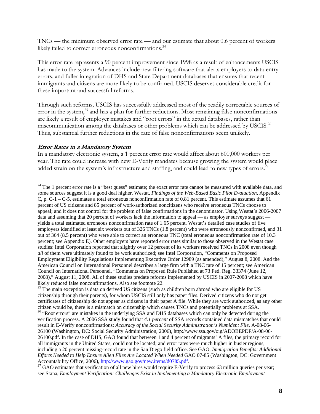TNCs — the minimum observed error rate — and our estimate that about 0.6 percent of workers likely failed to correct erroneous nonconfirmations.<sup>24</sup>

This error rate represents a 90 percent improvement since 1998 as a result of enhancements USCIS has made to the system. Advances include new filtering software that alerts employers to data-entry errors, and fuller integration of DHS and State Department databases that ensures that recent immigrants and citizens are more likely to be confirmed. USCIS deserves considerable credit for these important and successful reforms.

Through such reforms, USCIS has successfully addressed most of the readily correctable sources of error in the system, $^{25}$  and has a plan for further reductions. Most remaining false nonconfirmations are likely a result of employer mistakes and "root errors" in the actual databases, rather than miscommunication among the databases or other problems which can be addressed by USCIS.<sup>26</sup> Thus, substantial further reductions in the rate of false nonconfirmations seem unlikely.

#### **Error Rates in a Mandatory System**

 $\overline{a}$ 

In a mandatory electronic system, a 1 percent error rate would affect about 600,000 workers per year. The rate could increase with new E-Verify mandates because growing the system would place added strain on the system's infrastructure and staffing, and could lead to new types of errors.<sup>27</sup>

citizenship through their parents), for whom USCIS still only has paper files. Derived citizens who do not get certificates of citizenship do not appear as citizens in their paper A file. While they are work authorized, as any other citizen would be, there is a mismatch on citizenship which causes TNCs and potentially problems at SSA.

 $24$  The 1 percent error rate is a "best guess" estimate; the exact error rate cannot be measured with available data, and some sources suggest it is a good deal higher. Westat, *Findings of the Web-Based Basic Pilot Evaluation,* Appendix C, p.  $C-1 - C-5$ , estimates a total erroneous nonconfirmation rate of 0.81 percent. This estimate assumes that 61 percent of US citizens and 85 percent of work-authorized noncitizens who receive erroneous TNCs choose to appeal; and it does not control for the problem of false confirmations in the denominator. Using Westat's 2006-2007 data and assuming that 20 percent of workers lack the information to appeal — as employer surveys suggest yields a total estimated erroneous nonconfirmation rate of 1.65 percent. Westat's detailed case studies of five employers identified at least six workers out of 326 TNCs (1.8 percent) who were erroneously nonconfirmed, and 31 out of 364 (8.5 percent) who were able to correct an erroneous TNC (total erroneous nonconfirmation rate of 10.3 percent; see Appendix E). Other employers have reported error rates similar to those observed in the Westat case studies: Intel Corporation reported that slightly over 12 percent of its workers received TNCs in 2008 even though *all* of them were ultimately found to be work authorized; see Intel Corporation, "Comments on Proposed Employment Eligibility Regulations Implementing Executive Order 12989 (as amended)," August 8, 2008. And the American Council on International Personnel describes a large firm with a TNC rate of 15 percent; see American Council on International Personnel, "Comments on Proposed Rule Published at 73 Fed. Reg. 33374 (June 12, 2008)," August 11, 2008. All of these studies predate reforms implemented by USCIS in 2007-2008 which have likely reduced false nonconfirmations. Also see footnote 22.<br><sup>25</sup> The main exception is data on derived US citizens (such as children born abroad who are eligible for US

<sup>&</sup>lt;sup>26</sup> "Root errors" are mistakes in the underlying SSA and DHS databases which can only be detected during the verification process. A 2006 SSA study found that *4.1 percent* of SSA records contained data mismatches that could result in E-Verify nonconfirmations: *Accuracy of the Social Security Administration's Numident File*, A-08-06- 26100 (Washington, DC: Social Security Administration, 2006), http://www.ssa.gov/oig/ADOBEPDF/A-08-06- 26100.pdf. In the case of DHS, GAO found that between 1 and 4 percent of migrants' A files, the primary record for all immigrants in the United States, could not be located; and error rates were much higher in busier regions, including a 20 percent missing-record rate in the San Diego field office. See GAO, *Immigration Benefits: Additional Efforts Needed to Help Ensure Alien Files Are Located When Needed* GAO 07-85 (Washington, DC: Government Accountability Office, 2006), http://www.gao.gov/new.items/d0785.pdf.<br><sup>27</sup> GAO estimates that verification of all new hires would require E-Verify to process 63 million queries per year;

see Stana, *Employment Verification: Challenges Exist in Implementing a Mandatory Electronic Employment*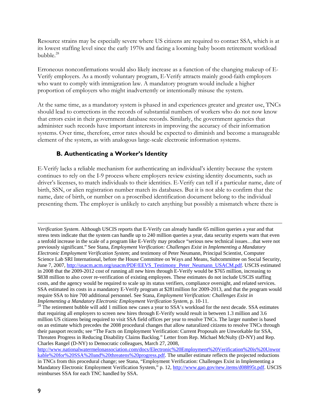Resource strains may be especially severe where US citizens are required to contact SSA, which is at its lowest staffing level since the early 1970s and facing a looming baby boom retirement workload bubble.<sup>28</sup>

Erroneous nonconfirmations would also likely increase as a function of the changing makeup of E-Verify employers. As a mostly voluntary program, E-Verify attracts mainly good-faith employers who want to comply with immigration law. A mandatory program would include a higher proportion of employers who might inadvertently or intentionally misuse the system.

At the same time, as a mandatory system is phased in and experiences greater and greater use, TNCs should lead to corrections in the records of substantial numbers of workers who do not now know that errors exist in their government database records. Similarly, the government agencies that administer such records have important interests in improving the accuracy of their information systems. Over time, therefore, error rates should be expected to diminish and become a manageable element of the system, as with analogous large-scale electronic information systems.

### **B. Authenticating a Worker's Identity**

E-Verify lacks a reliable mechanism for authenticating an individual's identity because the system continues to rely on the I-9 process where employers review existing identity documents, such as driver's licenses, to match individuals to their identities. E-Verify can tell if a particular name, date of birth, SSN, or alien registration number match its databases. But it is not able to confirm that the name, date of birth, or number on a proscribed identification document belong to the individual presenting them. The employer is unlikely to catch anything but possibly a mismatch where there is

 $\overline{a}$ 

*Verification System*. Although USCIS reports that E-Verify can already handle 65 million queries a year and that stress tests indicate that the system can handle up to 240 million queries a year, data security experts warn that even a tenfold increase in the scale of a program like E-Verify may produce "serious new technical issues…that were not previously significant." See Stana, *Employment Verification: Challenges Exist in Implementing a Mandatory Electronic Employment Verification System*; and testimony of Peter Neumann, Principal Scientist, Computer Science Lab SRI International, before the House Committee on Ways and Means, Subcommittee on Social Security, June 7, 2007, http://usacm.acm.org/usacm/PDF/EEVS\_Testimony\_Peter\_Neumann\_USACM.pdf. USCIS estimated in 2008 that the 2009-2012 cost of running all new hires through E-Verify would be \$765 million, increasing to \$838 million to also cover re-verification of existing employees. These estimates do not include USCIS staffing costs, and the agency would be required to scale up its status verifiers, compliance oversight, and related services. SSA estimated its costs in a mandatory E-Verify program at \$281million for 2009-2013, and that the program would require SSA to hire 700 additional personnel. See Stana, *Employment Verification: Challenges Exist in* 

<sup>&</sup>lt;sup>28</sup> The retirement bubble will add 1 million new cases a year to SSA's workload for the next decade. SSA estimates that requiring all employers to screen new hires through E-Verify would result in between 1.3 million and 3.6 million US citizens being required to visit SSA field offices per year to resolve TNCs. The larger number is based on an estimate which precedes the 2008 procedural changes that allow naturalized citizens to resolve TNCs through their passport records; see "The Facts on Employment Verification: Current Proposals are Unworkable for SSA, Threaten Progress in Reducing Disability Claims Backlog." Letter from Rep. Michael McNulty (D-NY) and Rep. Charles Rangel (D-NY) to Democratic colleagues, March 27, 2008,

http://www.nationalwatermelonassociation.com/docs/Electronic%20Employment%20Verification%20is%20Unwor kable%20for%20SSA%20and%20threatens%20progress.pdf. The smaller estimate reflects the projected reductions in TNCs from this procedural change; see Stana, "Employment Verification: Challenges Exist in Implementing a Mandatory Electronic Employment Verification System," p. 12, http://www.gao.gov/new.items/d08895t.pdf. USCIS reimburses SSA for each TNC handled by SSA.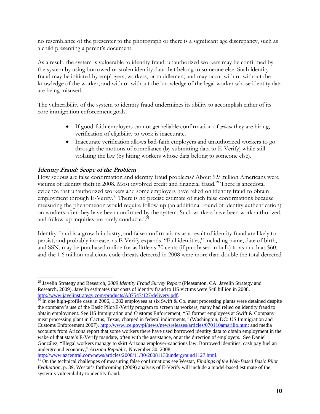no resemblance of the presenter to the photograph or there is a significant age discrepancy, such as a child presenting a parent's document.

As a result, the system is vulnerable to identity fraud: unauthorized workers may be confirmed by the system by using borrowed or stolen identity data that belong to someone else. Such identity fraud may be initiated by employers, workers, or middlemen, and may occur with or without the knowledge of the worker, and with or without the knowledge of the legal worker whose identity data are being misused.

The vulnerability of the system to identity fraud undermines its ability to accomplish either of its core immigration enforcement goals.

- If good-faith employers cannot get reliable confirmation of *whom* they are hiring, verification of eligibility to work is inaccurate.
- Inaccurate verification allows bad-faith employers and unauthorized workers to go through the motions of compliance (by submitting data to E-Verify) while still violating the law (by hiring workers whose data belong to someone else).

#### **Identity Fraud: Scope of the Problem**

 $\overline{a}$ 

How serious are false confirmation and identity fraud problems? About 9.9 million Americans were victims of identity theft in 2008. Most involved credit and financial fraud.<sup>29</sup> There is anecdotal evidence that unauthorized workers and some employers have relied on identity fraud to obtain employment through E-Verify.<sup>30</sup> There is no precise estimate of such false confirmations because measuring the phenomenon would require follow-up (an additional round of identity authentication) on workers after they have been confirmed by the system. Such workers have been work authorized, and follow-up inquiries are rarely conducted. $31$ 

Identity fraud is a growth industry, and false confirmations as a result of identity fraud are likely to persist, and probably increase, as E-Verify expands. "Full identities," including name, date of birth, and SSN, may be purchased online for as little as 70 cents (if purchased in bulk) to as much as \$60, and the 1.6 million malicious code threats detected in 2008 were more than double the total detected

<sup>29</sup> Javelin Strategy and Research, *2009 Identity Fraud Survey Report* (Pleasanton, CA: Javelin Strategy and Research, 2009). Javelin estimates that costs of identity fraud to US victims were \$48 billion in 2008. http://www.javelinstrategy.com/products/A87547/127/delivery.pdf.<br><sup>30</sup> In one high-profile case in 2006, 1,282 employees at six Swift & Co. meat processing plants were detained despite

the company's use of the Basic Pilot/E-Verify program to screen its workers; many had relied on identity fraud to obtain employment. See US Immigration and Customs Enforcement, "53 former employees at Swift & Company meat processing plant in Cactus, Texas, charged in federal indictments," (Washington, DC: US Immigration and Customs Enforcement 2007), http://www.ice.gov/pi/news/newsreleases/articles/070110amarillo.htm; and media accounts from Arizona report that some workers there have used borrowed identity data to obtain employment in the wake of that state's E-Verify mandate, often with the assistance, or at the direction of employers. See Daniel González, "Illegal workers manage to skirt Arizona employer-sanctions law. Borrowed identities, cash pay fuel an underground economy," *Arizona Republic*, November 30, 2008,

http://www.azcentral.com/news/articles/2008/11/30/20081130underground1127.html. 31 On the technical challenges of measuring false confirmations see Westat, *Findings of the Web-Based Basic Pilot Evaluation,* p. 39. Westat's forthcoming (2009) analysis of E-Verify will include a model-based estimate of the system's vulnerability to identity fraud.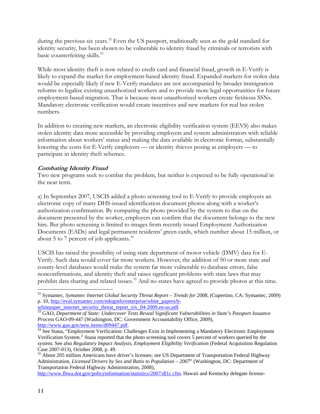during the previous six years.<sup>32</sup> Even the US passport, traditionally seen as the gold standard for identity security, has been shown to be vulnerable to identity fraud by criminals or terrorists with basic counterfeiting skills.<sup>33</sup>

While most identity theft is now related to credit card and financial fraud, growth in E-Verify is likely to expand the market for employment-based identity fraud. Expanded markets for stolen data would be especially likely if new E-Verify mandates are not accompanied by broader immigration reforms to legalize existing unauthorized workers and to provide more legal opportunities for future employment-based migration. That is because most unauthorized workers create fictitious SSNs. Mandatory electronic verification would create incentives and new markets for real but stolen numbers.

In addition to creating new markets, an electronic eligibility verification system (EEVS) also makes stolen identity data more accessible by providing employers and system administrators with reliable information about workers' status and making the data available in electronic format, substantially lowering the costs for E-Verify employers — or identity thieves posing as employers — to participate in identity theft schemes.

#### **Combating Identity Fraud**

Two new programs seek to combat the problem, but neither is expected to be fully operational in the near term.

a) In September 2007, USCIS added a photo screening tool to E-Verify to provide employers an electronic copy of many DHS-issued identification document photos along with a worker's authorization confirmation. By comparing the photo provided by the system to that on the document presented by the worker, employers can confirm that the document belongs to the new hire. But photo screening is limited to images from recently issued Employment Authorization Documents (EADs) and legal permanent residents' green cards, which number about 15 million, or about 5 to 7 percent of job applicants. $34$ 

USCIS has raised the possibility of using state department of motor vehicle (DMV) data for E-Verify. Such data would cover far more workers. However, the addition of 50 or more state and county-level databases would make the system far more vulnerable to database errors, false nonconfirmations, and identity theft and raises significant problems with state laws that may prohibit data sharing and related issues.<sup>35</sup> And no states have agreed to provide photos at this time.

http://www.fhwa.dot.gov/policyinformation/statistics/2007/dl1c.cfm. Hawaii and Kentucky delegate license-

 $\overline{a}$ 

<sup>32</sup> Symantec, *Symantec Internet Global Security Threat Report – Trends for 2008*, (Cupertino, CA: Symantec, 2009) p. 10, http://eval.symantec.com/mktginfo/enterprise/white\_papers/b-<br>whitepaper\_internet\_security\_threat\_report\_xiv\_04-2009.en-us.pdf

 $\frac{33}{33}$  GAO, *Department of State: Undercover Tests Reveal Significant Vulnerabilities in State's Passport Issuance Process* GAO-09-447 (Washington, DC: Government Accountability Office, 2009), http://www.gao.gov/new.items/d09447.pdf.

 $\frac{34}{34}$  See Stana, "Employment Verification: Challenges Exist in Implementing a Mandatory Electronic Employment Verification System." Stana reported that the photo screening tool covers 5 percent of workers queried by the system. See also *Regulatory Impact Analysis, Employment Eligibility Verification* (Federal Acquisition Regulation Case 2007-013), October 2008, p. 49.

<sup>&</sup>lt;sup>35</sup> About 205 million Americans have driver's licenses; see US Department of Transportation Federal Highway Administration, *Licensed Drivers by Sex and Ratio to Population – 2007*" (Washington, DC: Department of Transportation Federal Highway Administration, 2008),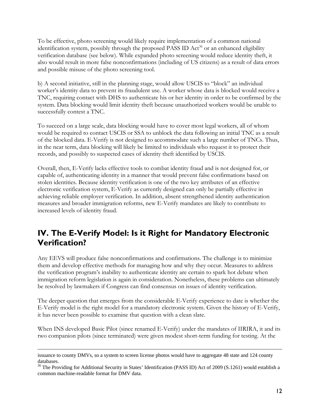To be effective, photo screening would likely require implementation of a common national identification system, possibly through the proposed PASS ID  $Act^{36}$  or an enhanced eligibility verification database (see below). While expanded photo screening would reduce identity theft, it also would result in more false nonconfirmations (including of US citizens) as a result of data errors and possible misuse of the photo screening tool.

b) A second initiative, still in the planning stage, would allow USCIS to "block" an individual worker's identity data to prevent its fraudulent use. A worker whose data is blocked would receive a TNC, requiring contact with DHS to authenticate his or her identity in order to be confirmed by the system. Data blocking would limit identity theft because unauthorized workers would be unable to successfully contest a TNC.

To succeed on a large scale, data blocking would have to cover most legal workers, all of whom would be required to contact USCIS or SSA to unblock the data following an initial TNC as a result of the blocked data. E-Verify is not designed to accommodate such a large number of TNCs. Thus, in the near term, data blocking will likely be limited to individuals who request it to protect their records, and possibly to suspected cases of identity theft identified by USCIS.

Overall, then, E-Verify lacks effective tools to combat identity fraud and is not designed for, or capable of, authenticating identity in a manner that would prevent false confirmations based on stolen identities. Because identity verification is one of the two key attributes of an effective electronic verification system, E-Verify as currently designed can only be partially effective in achieving reliable employer verification. In addition, absent strengthened identity authentication measures and broader immigration reforms, new E-Verify mandates are likely to contribute to increased levels of identity fraud.

## **IV. The E-Verify Model: Is it Right for Mandatory Electronic Verification?**

Any EEVS will produce false nonconfirmations and confirmations. The challenge is to minimize them and develop effective methods for managing how and why they occur. Measures to address the verification program's inability to authenticate identity are certain to spark hot debate when immigration reform legislation is again in consideration. Nonetheless, these problems can ultimately be resolved by lawmakers if Congress can find consensus on issues of identity verification.

The deeper question that emerges from the considerable E-Verify experience to date is whether the E-Verify model is the right model for a mandatory electronic system. Given the history of E-Verify, it has never been possible to examine that question with a clean slate.

When INS developed Basic Pilot (since renamed E-Verify) under the mandates of IIRIRA, it and its two companion pilots (since terminated) were given modest short-term funding for testing. At the

issuance to county DMVs, so a system to screen license photos would have to aggregate 48 state and 124 county databases.

<sup>&</sup>lt;sup>36</sup> The Providing for Additional Security in States' Identification (PASS ID) Act of 2009 (S.1261) would establish a common machine-readable format for DMV data.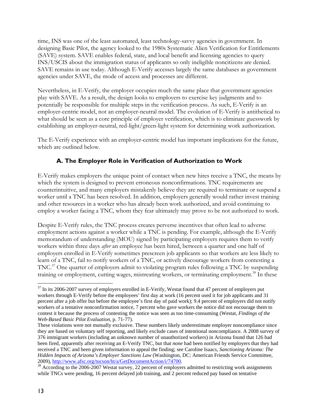time, INS was one of the least automated, least technology-savvy agencies in government. In designing Basic Pilot, the agency looked to the 1980s Systematic Alien Verification for Entitlements (SAVE) system. SAVE enables federal, state, and local benefit and licensing agencies to query INS/USCIS about the immigration status of applicants so only ineligible noncitizens are denied. SAVE remains in use today. Although E-Verify accesses largely the same databases as government agencies under SAVE, the mode of access and processes are different.

Nevertheless, in E-Verify, the employer occupies much the same place that government agencies play with SAVE. As a result, the design looks to employers to exercise key judgments and to potentially be responsible for multiple steps in the verification process. As such, E-Verify is an employer-centric model, not an employer-neutral model. The evolution of E-Verify is antithetical to what should be seen as a core principle of employer verification, which is to eliminate guesswork by establishing an employer-neutral, red-light/green-light system for determining work authorization.

The E-Verify experience with an employer-centric model has important implications for the future, which are outlined below.

## **A. The Employer Role in Verification of Authorization to Work**

E-Verify makes employers the unique point of contact when new hires receive a TNC, the means by which the system is designed to prevent erroneous nonconfirmations. TNC requirements are counterintuitive, and many employers mistakenly believe they are required to terminate or suspend a worker until a TNC has been resolved. In addition, employers generally would rather invest training and other resources in a worker who has already been work authorized, and avoid continuing to employ a worker facing a TNC, whom they fear ultimately may prove to be not authorized to work.

Despite E-Verify rules, the TNC process creates perverse incentives that often lead to adverse employment actions against a worker while a TNC is pending. For example, although the E-Verify memorandum of understanding (MOU) signed by participating employers requires them to verify workers within three days *after* an employee has been hired, between a quarter and one half of employers enrolled in E-Verify sometimes prescreen job applicants so that workers are less likely to learn of a TNC, fail to notify workers of a TNC, or actively discourage workers from contesting a TNC.37 One quarter of employers admit to violating program rules following a TNC by suspending training or employment, cutting wages, mistreating workers, or terminating employment.<sup>38</sup> In these

 $\overline{a}$ <sup>37</sup> In its 2006-2007 survey of employers enrolled in E-Verify, Westat found that 47 percent of employers put workers through E-Verify before the employees' first day at work (16 percent used it for job applicants and 31 percent after a job offer but before the employee's first day of paid work); 9.4 percent of employers did not notify workers of a tentative nonconfirmation notice, 7 percent who gave workers the notice did not encourage them to contest it because the process of contesting the notice was seen as too time-consuming (Westat, *Findings of the Web-Based Basic Pilot Evaluation*, p. 71-77).

These violations were not mutually exclusive. These numbers likely underestimate employer noncompliance since they are based on voluntary self reporting, and likely exclude cases of intentional noncompliance. A 2008 survey of 376 immigrant workers (including an unknown number of unauthorized workers) in Arizona found that 126 had been fired, apparently after receiving an E-Verify TNC, but that *none* had been notified by employers that they had received a TNC and been given information to appeal the finding; see Caroline Isaacs, *Sanctioning Arizona: The Hidden Impacts of Arizona's Employer Sanctions Law* (Washington, DC: American Friends Service Committee, 2009), http://www.afsc.org/tucson/ht/a/GetDocumentAction/i/74700.

 $\frac{38}{200}$  According to the 2006-2007 Westat survey, 22 percent of employers admitted to restricting work assignments while TNCs were pending, 16 percent delayed job training, and 2 percent reduced pay based on tentative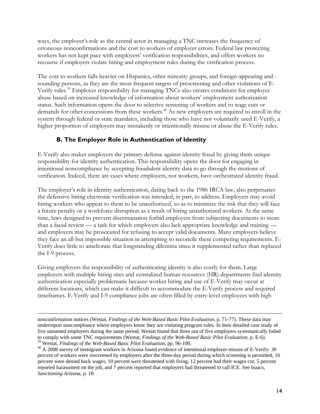ways, the employer's role as the central actor in managing a TNC increases the frequency of erroneous nonconfirmations and the cost to workers of employer errors. Federal law protecting workers has not kept pace with employers' verification responsibilities, and offers workers no recourse if employers violate hiring and employment rules during the verification process.

The cost to workers falls heavier on Hispanics, other minority groups, and foreign-appearing and sounding persons, as they are the most frequent targets of prescreening and other violations of E-Verify rules.39 Employer responsibility for managing TNCs also creates conditions for employer abuse based on increased knowledge of information about workers' employment authorization status. Such information opens the door to selective screening of workers and to wage cuts or demands for other concessions from these workers.<sup>40</sup> As new employers are required to enroll in the system through federal or state mandates, including those who have not voluntarily used E-Verify, a higher proportion of employers may mistakenly or intentionally misuse or abuse the E-Verify rules.

#### **B. The Employer Role in Authentication of Identity**

E-Verify also makes employers the primary defense against identity fraud by giving them unique responsibility for identity authentication. This responsibility opens the door for engaging in intentional noncompliance by accepting fraudulent identity data to go through the motions of verification. Indeed, there are cases where employers, not workers, have orchestrated identity fraud.

The employer's role in identity authentication, dating back to the 1986 IRCA law, also perpetuates the defensive hiring electronic verification was intended, in part, to address. Employers may avoid hiring workers who appear to them to be unauthorized, so as to minimize the risk that they will face a future penalty or a workforce disruption as a result of hiring unauthorized workers. At the same time, laws designed to prevent discrimination forbid employers from subjecting documents to more than a facial review — a task for which employers also lack appropriate knowledge and training and employers may be prosecuted for refusing to accept valid documents. Many employers believe they face an all-but impossible situation in attempting to reconcile these competing requirements. E-Verify does little to ameliorate that longstanding dilemma since it supplemented rather than replaced the I-9 process.

Giving employers the responsibility of authenticating identity is also costly for them. Large employers with multiple hiring sites and centralized human resources (HR) departments find identity authentication especially problematic because worker hiring and use of E-Verify may occur at different locations, which can make it difficult to accommodate the E-Verify process and required timeframes. E-Verify and I-9 compliance jobs are often filled by entry-level employees with high

nonconfirmation notices (Westat, *Findings of the Web-Based Basic Pilot Evaluation*, p. 71-77). These data may underreport noncompliance where employers know they are violating program rules. In their detailed case study of five unnamed employers during the same period, Westat found that three out of five employers systematically failed to comply with some TNC requirements (Westat, *Findings of the Web-Based Basic Pilot Evaluation*, p. E-6).

<sup>&</sup>lt;sup>40</sup> A 2008 survey of immigrant workers in Arizona found evidence of intentional employer misuse of E-Verify: 30 percent of workers were rescreened by employers after the three-day period during which screening is permitted, 16 percent were denied back wages, 10 percent were threatened with firing, 12 percent had their wages cut, 5 percent reported harassment on the job, and 7 percent reported that employers had threatened to call ICE. See Isaacs, *Sanctioning Arizona*, p. 10.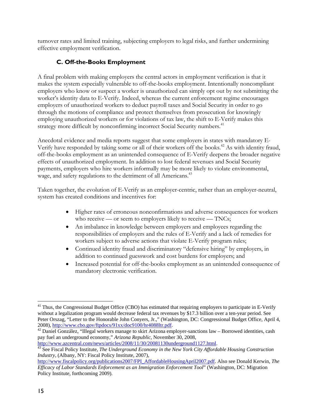turnover rates and limited training, subjecting employers to legal risks, and further undermining effective employment verification.

## **C. Off-the-Books Employment**

A final problem with making employers the central actors in employment verification is that it makes the system especially vulnerable to off-the-books employment. Intentionally noncompliant employers who know or suspect a worker is unauthorized can simply opt out by not submitting the worker's identity data to E-Verify. Indeed, whereas the current enforcement regime encourages employers of unauthorized workers to deduct payroll taxes and Social Security in order to go through the motions of compliance and protect themselves from prosecution for knowingly employing unauthorized workers or for violations of tax law, the shift to E-Verify makes this strategy more difficult by nonconfirming incorrect Social Security numbers.<sup>41</sup>

Anecdotal evidence and media reports suggest that some employers in states with mandatory E-Verify have responded by taking some or all of their workers off the books.<sup>42</sup> As with identity fraud, off-the-books employment as an unintended consequence of E-Verify deepens the broader negative effects of unauthorized employment. In addition to lost federal revenues and Social Security payments, employers who hire workers informally may be more likely to violate environmental, wage, and safety regulations to the detriment of all Americans.<sup>43</sup>

Taken together, the evolution of E-Verify as an employer-centric, rather than an employer-neutral, system has created conditions and incentives for:

- Higher rates of erroneous nonconfirmations and adverse consequences for workers who receive — or seem to employers likely to receive — TNCs;
- An imbalance in knowledge between employers and employees regarding the responsibilities of employers and the rules of E-Verify and a lack of remedies for workers subject to adverse actions that violate E-Verify program rules;
- Continued identity fraud and discriminatory "defensive hiring" by employers, in addition to continued guesswork and cost burdens for employers; and
- Increased potential for off-the-books employment as an unintended consequence of mandatory electronic verification.

 $\overline{a}$ <sup>41</sup> Thus, the Congressional Budget Office (CBO) has estimated that requiring employers to participate in E-Verify without a legalization program would decrease federal tax revenues by \$17.3 billion over a ten-year period. See Peter Orszag, "Letter to the Honorable John Conyers, Jr.," (Washington, DC: Congressional Budget Office, April 4, 2008), http://www.cbo.gov/ftpdocs/91xx/doc9100/hr4088ltr.pdf.

<sup>&</sup>lt;sup>42</sup> Daniel González, "Illegal workers manage to skirt Arizona employer-sanctions law – Borrowed identities, cash pay fuel an underground economy," *Arizona Republic*, November 30, 2008,

<sup>&</sup>lt;sup>43</sup> See Fiscal Policy Institute, *The Underground Economy in the New York City Affordable Housing Construction Industry*, (Albany, NY: Fiscal Policy Institute, 2007),

http://www.fiscalpolicy.org/publications2007/FPI\_AffordableHousingApril2007.pdf. Also see Donald Kerwin, *The Efficacy of Labor Standards Enforcement as an Immigration Enforcement Tool*" (Washington, DC: Migration Policy Institute, forthcoming 2009).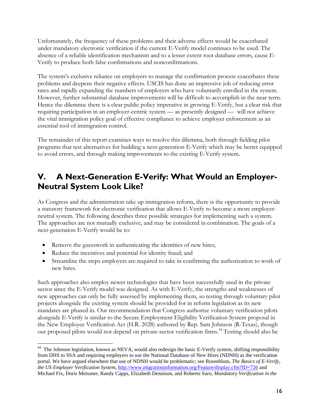Unfortunately, the frequency of these problems and their adverse effects would be exacerbated under mandatory electronic verification if the current E-Verify model continues to be used. The absence of a reliable identification mechanism and to a lesser extent root database errors, cause E-Verify to produce both false confirmations and nonconfirmations.

The system's exclusive reliance on employers to manage the confirmation process exacerbates these problems and deepens their negative effects. USCIS has done an impressive job of reducing error rates and rapidly expanding the numbers of employers who have voluntarily enrolled in the system. However, further substantial database improvements will be difficult to accomplish in the near term. Hence the dilemma: there is a clear public policy imperative in growing E-Verify, but a clear risk that requiring participation in an employer-centric system — as presently designed — will not achieve the vital immigration policy goal of effective compliance to achieve employer enforcement as an essential tool of immigration control.

The remainder of this report examines ways to resolve this dilemma, both through fielding pilot programs that test alternatives for building a next-generation E-Verify which may be better equipped to avoid errors, and through making improvements to the existing E-Verify system.

## **V. A Next-Generation E-Verify: What Would an Employer-Neutral System Look Like?**

As Congress and the administration take up immigration reform, there is the opportunity to provide a statutory framework for electronic verification that allows E-Verify to become a more employerneutral system. The following describes three possible strategies for implementing such a system. The approaches are not mutually exclusive, and may be considered in combination. The goals of a next-generation E-Verify would be to:

- Remove the guesswork in authenticating the identities of new hires;
- Reduce the incentives and potential for identity fraud; and

 $\overline{a}$ 

Streamline the steps employers are required to take in confirming the authorization to work of new hires.

Such approaches also employ newer technologies that have been successfully used in the private sector since the E-Verify model was designed. As with E-Verify, the strengths and weaknesses of new approaches can only be fully assessed by implementing them, so testing through voluntary pilot projects alongside the existing system should be provided for in reform legislation as its new mandates are phased in. Our recommendation that Congress authorize voluntary verification pilots alongside E-Verify is similar to the Secure Employment Eligibility Verification System proposal in the New Employee Verification Act (H.R. 2028) authored by Rep. Sam Johnson (R-Texas), though our proposed pilots would not depend on private-sector verification firms.<sup>44</sup> Testing should also be

<sup>&</sup>lt;sup>44</sup> The Johnson legislation, known as NEVA, would also redesign the basic E-Verify system, shifting responsibility from DHS to SSA and requiring employers to use the National Database of New Hires (NDNH) as the verification portal. We have argued elsewhere that use of NDNH would be problematic; see Rosenblum, *The Basics of E-Verify, the US Employer Verification System*, http://www.migrationinformation.org/Feature/display.cfm?ID=726 and Michael Fix, Doris Meissner, Randy Capps, Elizabeth Dennison, and Roberto Suro, *Mandatory Verification in the*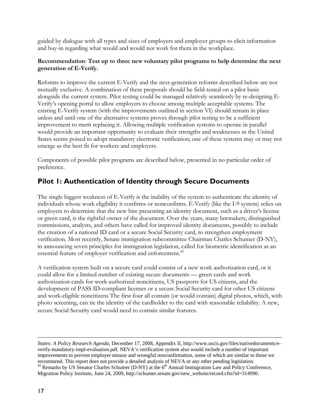guided by dialogue with all types and sizes of employers and employer groups to elicit information and buy-in regarding what would and would not work for them in the workplace.

#### **Recommendation**: **Test up to three new voluntary pilot programs to help determine the next generation of E-Verify.**

Reforms to improve the current E-Verify and the next-generation reforms described below are not mutually exclusive. A combination of these proposals should be field-tested on a pilot basis alongside the current system. Pilot testing could be managed relatively seamlessly by re-designing E-Verify's opening portal to allow employers to choose among multiple acceptable systems. The existing E-Verify system (with the improvements outlined in section VI) should remain in place unless and until one of the alternative systems proves through pilot testing to be a sufficient improvement to merit replacing it. Allowing multiple verification systems to operate in parallel would provide an important opportunity to evaluate their strengths and weaknesses as the United States seems poised to adopt mandatory electronic verification; one of these systems may or may not emerge as the best fit for workers and employers.

Components of possible pilot programs are described below, presented in no particular order of preference.

## **Pilot 1: Authentication of Identity through Secure Documents**

The single biggest weakness of E-Verify is the inability of the system to authenticate the identity of individuals whose work eligibility it confirms or nonconfirms. E-Verify (like the I-9 system) relies on employers to determine that the new hire presenting an identity document, such as a driver's license or green card, is the rightful owner of the document. Over the years, many lawmakers, distinguished commissions, analysts, and others have called for improved identity documents, possibly to include the creation of a national ID card or a secure Social Security card, to strengthen employment verification. Most recently, Senate immigration subcommittee Chairman Charles Schumer (D-NY), in announcing seven principles for immigration legislation, called for biometric identification as an essential feature of employer verification and enforcement.<sup>45</sup>

A verification system built on a secure card could consist of a new work authorization card, or it could allow for a limited number of existing secure documents — green cards and work authorization cards for work-authorized noncitizens, US passports for US citizens, and the development of PASS ID-compliant licenses or a secure Social Security card for other US citizens and work-eligible noncitizens The first four all contain (or would contain) digital photos, which, with photo screening, can tie the identity of the cardholder to the card with reasonable reliability. A new, secure Social Security card would need to contain similar features.

 $\overline{a}$ 

*States: A Policy Research Agenda*, December 17, 2008, Appendix II, http://www.uscis.gov/files/nativedocuments/everify-mandatory-impl-evaluation.pdf. NEVA's verification system also would include a number of important improvements to prevent employer misuse and wrongful nonconfirmation, some of which are similar to those we recommend. This report does not provide a detailed analysis of NEVA or any other pending legislation.<br><sup>45</sup> Remarks by US Senator Charles Schumer (D-NY) at the  $6<sup>th</sup>$  Annual Immigration Law and Policy Conference, Migration Policy Institute, June 24, 2009, http://schumer.senate.gov/new\_website/record.cfm?id=314990.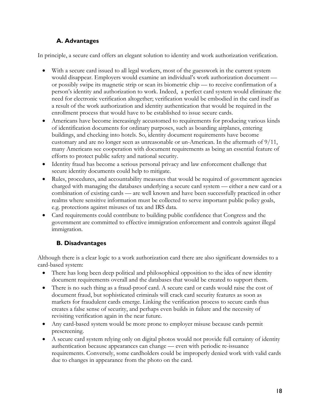## **A. Advantages**

In principle, a secure card offers an elegant solution to identity and work authorization verification.

- With a secure card issued to all legal workers, most of the guesswork in the current system would disappear. Employers would examine an individual's work authorization document or possibly swipe its magnetic strip or scan its biometric chip — to receive confirmation of a person's identity and authorization to work. Indeed, a perfect card system would eliminate the need for electronic verification altogether; verification would be embodied in the card itself as a result of the work authorization and identity authentication that would be required in the enrollment process that would have to be established to issue secure cards.
- Americans have become increasingly accustomed to requirements for producing various kinds of identification documents for ordinary purposes, such as boarding airplanes, entering buildings, and checking into hotels. So, identity document requirements have become customary and are no longer seen as unreasonable or un-American. In the aftermath of 9/11, many Americans see cooperation with document requirements as being an essential feature of efforts to protect public safety and national security.
- Identity fraud has become a serious personal privacy and law enforcement challenge that secure identity documents could help to mitigate.
- Rules, procedures, and accountability measures that would be required of government agencies charged with managing the databases underlying a secure card system — either a new card or a combination of existing cards — are well known and have been successfully practiced in other realms where sensitive information must be collected to serve important public policy goals, e.g. protections against misuses of tax and IRS data.
- Card requirements could contribute to building public confidence that Congress and the government are committed to effective immigration enforcement and controls against illegal immigration.

## **B. Disadvantages**

Although there is a clear logic to a work authorization card there are also significant downsides to a card-based system:

- There has long been deep political and philosophical opposition to the idea of new identity document requirements overall and the databases that would be created to support them.
- There is no such thing as a fraud-proof card. A secure card or cards would raise the cost of document fraud, but sophisticated criminals will crack card security features as soon as markets for fraudulent cards emerge. Linking the verification process to secure cards thus creates a false sense of security, and perhaps even builds in failure and the necessity of revisiting verification again in the near future.
- Any card-based system would be more prone to employer misuse because cards permit prescreening.
- A secure card system relying only on digital photos would not provide full certainty of identity authentication because appearances can change — even with periodic re-issuance requirements. Conversely, some cardholders could be improperly denied work with valid cards due to changes in appearance from the photo on the card.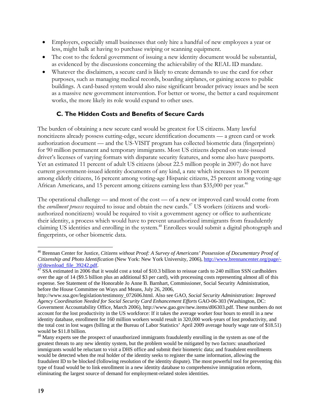- Employers, especially small businesses that only hire a handful of new employees a year or less, might balk at having to purchase swiping or scanning equipment.
- The cost to the federal government of issuing a new identity document would be substantial, as evidenced by the discussions concerning the achievability of the REAL ID mandate.
- Whatever the disclaimers, a secure card is likely to create demands to use the card for other purposes, such as managing medical records, boarding airplanes, or gaining access to public buildings. A card-based system would also raise significant broader privacy issues and be seen as a massive new government intervention. For better or worse, the better a card requirement works, the more likely its role would expand to other uses.

### **C. The Hidden Costs and Benefits of Secure Cards**

The burden of obtaining a new secure card would be greatest for US citizens. Many lawful noncitizens already possess cutting-edge, secure identification documents — a green card or work authorization document — and the US-VISIT program has collected biometric data (fingerprints) for 90 million permanent and temporary immigrants. Most US citizens depend on state-issued driver's licenses of varying formats with disparate security features, and some also have passports. Yet an estimated 11 percent of adult US citizens (about 22.5 million people in 2007) do not have current government-issued identity documents of any kind, a rate which increases to 18 percent among elderly citizens, 16 percent among voting-age Hispanic citizens, 25 percent among voting-age African Americans, and 15 percent among citizens earning less than \$35,000 per year.<sup>46</sup>

The operational challenge — and most of the cost — of a new or improved card would come from the *enrollment process* required to issue and obtain the new cards.<sup>47</sup> US workers (citizens and workauthorized noncitizens) would be required to visit a government agency or office to authenticate their identity, a process which would have to prevent unauthorized immigrants from fraudulently claiming US identities and enrolling in the system.<sup>48</sup> Enrollees would submit a digital photograph and fingerprints, or other biometric data.

 $\overline{a}$ 46 Brennan Center for Justice, *Citizens without Proof: A Survey of Americans' Possession of Documentary Proof of Citizenship and Photo Identification* (New York: New York University, 2006), http://www.brennancenter.org/page/-  $\frac{d}{d}$  SSA estimated in 2006 that it would cost a total of \$10.3 billion to reissue cards to 240 million SSN cardholders

over the age of 14 (\$9.5 billion plus an additional \$3 per card), with processing costs representing almost all of this expense. See Statement of the Honorable Jo Anne B. Barnhart, Commissioner, Social Security Administration, before the House Committee on Ways and Means, July 26, 2006,

http://www.ssa.gov/legislation/testimony\_072606.html. Also see GAO, *Social Security Administration: Improved Agency Coordination Needed for Social Security Card Enhancement Efforts* GAO-06-303 (Washington, DC: Government Accountability Office, March 2006), http://www.gao.gov/new.items/d06303.pdf. These numbers do not account for the lost productivity in the US workforce: If it takes the average worker four hours to enroll in a new identity database, enrollment for 160 million workers would result in 320,000 work-years of lost productivity, and the total cost in lost wages (billing at the Bureau of Labor Statistics' April 2009 average hourly wage rate of \$18.51) would be \$11.8 billion.

<sup>&</sup>lt;sup>48</sup> Many experts see the prospect of unauthorized immigrants fraudulently enrolling in the system as one of the greatest threats to any new identity system, but the problem would be mitigated by two factors: unauthorized immigrants would be reluctant to visit a DHS office and submit their biometric data; and fraudulent enrollments would be detected when the real holder of the identity seeks to register the same information, allowing the fraudulent ID to be blocked (following resolution of the identity dispute). The most powerful tool for preventing this type of fraud would be to link enrollment in a new identity database to comprehensive immigration reform, eliminating the largest source of demand for employment-related stolen identities.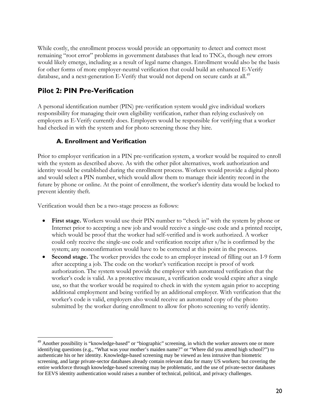While costly, the enrollment process would provide an opportunity to detect and correct most remaining "root error" problems in government databases that lead to TNCs, though new errors would likely emerge, including as a result of legal name changes. Enrollment would also be the basis for other forms of more employer-neutral verification that could build an enhanced E-Verify database, and a next-generation E-Verify that would not depend on secure cards at all.<sup>49</sup>

## **Pilot 2: PIN Pre-Verification**

A personal identification number (PIN) pre-verification system would give individual workers responsibility for managing their own eligibility verification, rather than relying exclusively on employers as E-Verify currently does. Employers would be responsible for verifying that a worker had checked in with the system and for photo screening those they hire.

#### **A. Enrollment and Verification**

Prior to employer verification in a PIN pre-verification system, a worker would be required to enroll with the system as described above. As with the other pilot alternatives, work authorization and identity would be established during the enrollment process. Workers would provide a digital photo and would select a PIN number, which would allow them to manage their identity record in the future by phone or online. At the point of enrollment, the worker's identity data would be locked to prevent identity theft.

Verification would then be a two-stage process as follows:

 $\overline{a}$ 

- **First stage.** Workers would use their PIN number to "check in" with the system by phone or Internet prior to accepting a new job and would receive a single-use code and a printed receipt, which would be proof that the worker had self-verified and is work authorized. A worker could only receive the single-use code and verification receipt after s/he is confirmed by the system; any nonconfirmation would have to be corrected at this point in the process.
- **Second stage.** The worker provides the code to an employer instead of filling out an I-9 form after accepting a job. The code on the worker's verification receipt is proof of work authorization. The system would provide the employer with automated verification that the worker's code is valid. As a protective measure, a verification code would expire after a single use, so that the worker would be required to check in with the system again prior to accepting additional employment and being verified by an additional employer. With verification that the worker's code is valid, employers also would receive an automated copy of the photo submitted by the worker during enrollment to allow for photo screening to verify identity.

<sup>&</sup>lt;sup>49</sup> Another possibility is "knowledge-based" or "biographic" screening, in which the worker answers one or more identifying questions (e.g., "What was your mother's maiden name?" or "Where did you attend high school?") to authenticate his or her identity. Knowledge-based screening may be viewed as less intrusive than biometric screening, and large private-sector databases already contain relevant data for many US workers; but covering the entire workforce through knowledge-based screening may be problematic, and the use of private-sector databases for EEVS identity authentication would raises a number of technical, political, and privacy challenges.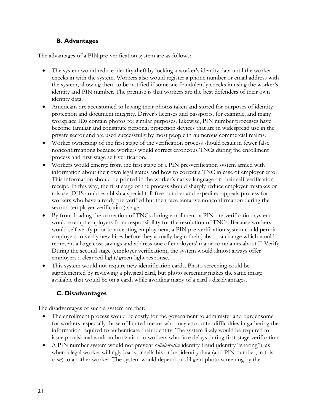### **B. Advantages**

The advantages of a PIN pre-verification system are as follows:

- The system would reduce identity theft by locking a worker's identity data until the worker checks in with the system. Workers also would register a phone number or email address with the system, allowing them to be notified if someone fraudulently checks in using the worker's identity and PIN number. The premise is that workers are the best defenders of their own identity data.
- Americans are accustomed to having their photos taken and stored for purposes of identity protection and document integrity. Driver's licenses and passports, for example, and many workplace IDs contain photos for similar purposes. Likewise, PIN number processes have become familiar and constitute personal protection devices that are in widespread use in the private sector and are used successfully by most people in numerous commercial realms.
- Worker ownership of the first stage of the verification process should result in fewer false nonconfirmations because workers would correct erroneous TNCs during the enrollment process and first-stage self-verification.
- Workers would emerge from the first stage of a PIN pre-verification system armed with information about their own legal status and how to correct a TNC in case of employer error. This information should be printed in the worker's native language on their self-verification receipt. In this way, the first stage of the process should sharply reduce employer mistakes or misuse. DHS could establish a special toll-free number and expedited appeals process for workers who have already pre-verified but then face tentative nonconfirmation during the second (employer verification) stage.
- By front-loading the correction of TNCs during enrollment, a PIN pre-verification system would exempt employers from responsibility for the resolution of TNCs. Because workers would self-verify prior to accepting employment, a PIN pre-verification system could permit employers to verify new hires before they actually begin their jobs — a change which would represent a large cost savings and address one of employers' major complaints about E-Verify. During the second stage (employer verification), the system would almost always offer employers a clear red-light/green-light response.
- This system would not require new identification cards. Photo screening could be supplemented by reviewing a physical card, but photo screening makes the same image available that would be on a card, while avoiding many of a card's disadvantages.

## **C. Disadvantages**

The disadvantages of such a system are that:

- The enrollment process would be costly for the government to administer and burdensome for workers, especially those of limited means who may encounter difficulties in gathering the information required to authenticate their identity. The system likely would be required to issue provisional work authorization to workers who face delays during first-stage verification.
- A PIN number system would not prevent *collaborative* identity fraud (identity "sharing"), as when a legal worker willingly loans or sells his or her identity data (and PIN number, in this case) to another worker. The system would depend on diligent photo screening by the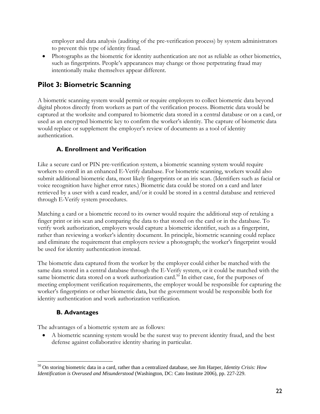employer and data analysis (auditing of the pre-verification process) by system administrators to prevent this type of identity fraud.

• Photographs as the biometric for identity authentication are not as reliable as other biometrics, such as fingerprints. People's appearances may change or those perpetrating fraud may intentionally make themselves appear different.

## **Pilot 3: Biometric Scanning**

A biometric scanning system would permit or require employers to collect biometric data beyond digital photos directly from workers as part of the verification process. Biometric data would be captured at the worksite and compared to biometric data stored in a central database or on a card, or used as an encrypted biometric key to confirm the worker's identity. The capture of biometric data would replace or supplement the employer's review of documents as a tool of identity authentication.

## **A. Enrollment and Verification**

Like a secure card or PIN pre-verification system, a biometric scanning system would require workers to enroll in an enhanced E-Verify database. For biometric scanning, workers would also submit additional biometric data, most likely fingerprints or an iris scan. (Identifiers such as facial or voice recognition have higher error rates.) Biometric data could be stored on a card and later retrieved by a user with a card reader, and/or it could be stored in a central database and retrieved through E-Verify system procedures.

Matching a card or a biometric record to its owner would require the additional step of retaking a finger print or iris scan and comparing the data to that stored on the card or in the database. To verify work authorization, employers would capture a biometric identifier, such as a fingerprint, rather than reviewing a worker's identity document. In principle, biometric scanning could replace and eliminate the requirement that employers review a photograph; the worker's fingerprint would be used for identity authentication instead.

The biometric data captured from the worker by the employer could either be matched with the same data stored in a central database through the E-Verify system, or it could be matched with the same biometric data stored on a work authorization card.<sup>50</sup> In either case, for the purposes of meeting employment verification requirements, the employer would be responsible for capturing the worker's fingerprints or other biometric data, but the government would be responsible both for identity authentication and work authorization verification.

## **B. Advantages**

 $\overline{a}$ 

The advantages of a biometric system are as follows:

• A biometric scanning system would be the surest way to prevent identity fraud, and the best defense against collaborative identity sharing in particular.

<sup>50</sup> On storing biometric data in a card, rather than a centralized database, see Jim Harper, *Identity Crisis: How Identification is Overused and Misunderstood* (Washington, DC: Cato Institute 2006), pp. 227-229.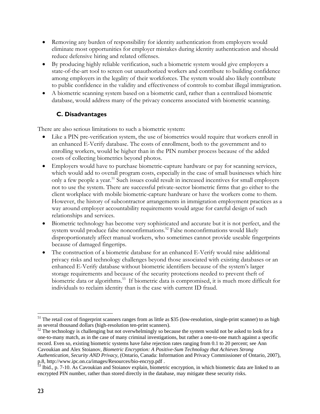- Removing any burden of responsibility for identity authentication from employers would eliminate most opportunities for employer mistakes during identity authentication and should reduce defensive hiring and related offenses.
- By producing highly reliable verification, such a biometric system would give employers a state-of-the-art tool to screen out unauthorized workers and contribute to building confidence among employers in the legality of their workforces. The system would also likely contribute to public confidence in the validity and effectiveness of controls to combat illegal immigration.
- A biometric scanning system based on a biometric card, rather than a centralized biometric database, would address many of the privacy concerns associated with biometric scanning.

### **C. Disadvantages**

There are also serious limitations to such a biometric system:

- Like a PIN pre-verification system, the use of biometrics would require that workers enroll in an enhanced E-Verify database. The costs of enrollment, both to the government and to enrolling workers, would be higher than in the PIN number process because of the added costs of collecting biometrics beyond photos.
- Employers would have to purchase biometric-capture hardware or pay for scanning services, which would add to overall program costs, especially in the case of small businesses which hire only a few people a year.<sup>51</sup> Such issues could result in increased incentives for small employers not to use the system. There are successful private-sector biometric firms that go either to the client workplace with mobile biometric-capture hardware or have the workers come to them. However, the history of subcontractor arrangements in immigration employment practices as a way around employer accountability requirements would argue for careful design of such relationships and services.
- Biometric technology has become very sophisticated and accurate but it is not perfect, and the system would produce false nonconfirmations.<sup>52</sup> False nonconfirmations would likely disproportionately affect manual workers, who sometimes cannot provide useable fingerprints because of damaged fingertips.
- The construction of a biometric database for an enhanced E-Verify would raise additional privacy risks and technology challenges beyond those associated with existing databases or an enhanced E-Verify database without biometric identifiers because of the system's larger storage requirements and because of the security protections needed to prevent theft of biometric data or algorithms.<sup>53</sup> If biometric data is compromised, it is much more difficult for individuals to reclaim identity than is the case with current ID fraud.

 $\overline{a}$ 

 $51$  The retail cost of fingerprint scanners ranges from as little as \$35 (low-resolution, single-print scanner) to as high as several thousand dollars (high-resolution ten-print scanners).

<sup>&</sup>lt;sup>52</sup> The technology is challenging but not overwhelmingly so because the system would not be asked to look for a one-to-many match, as in the case of many criminal investigations, but rather a one-to-one match against a specific record. Even so, existing biometric systems have false rejection rates ranging from 0.1 to 20 percent; see Ann Cavoukian and Alex Stoianov, *Biometric Encryption: A Positive-Sum Technology that Achieves Strong Authentication, Security AND Privacy*, (Ontario, Canada: Information and Privacy Commissioner of Ontario, 2007), p.8, http://www.ipc.on.ca/images/Resources/bio-encryp.pdf .

<sup>&</sup>lt;sup>53</sup> Ibid., p. 7-10. As Cavoukian and Stoianov explain, biometric encryption, in which biometric data are linked to an encrypted PIN number, rather than stored directly in the database, may mitigate these security risks.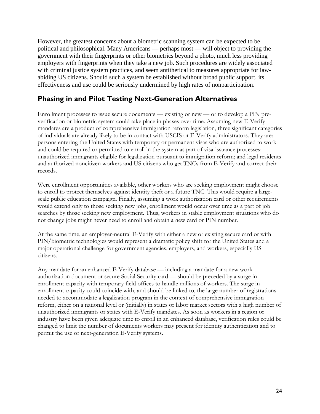However, the greatest concerns about a biometric scanning system can be expected to be political and philosophical. Many Americans — perhaps most — will object to providing the government with their fingerprints or other biometrics beyond a photo, much less providing employers with fingerprints when they take a new job. Such procedures are widely associated with criminal justice system practices, and seem antithetical to measures appropriate for lawabiding US citizens. Should such a system be established without broad public support, its effectiveness and use could be seriously undermined by high rates of nonparticipation.

## **Phasing in and Pilot Testing Next-Generation Alternatives**

Enrollment processes to issue secure documents — existing or new — or to develop a PIN preverification or biometric system could take place in phases over time. Assuming new E-Verify mandates are a product of comprehensive immigration reform legislation, three significant categories of individuals are already likely to be in contact with USCIS or E-Verify administrators. They are: persons entering the United States with temporary or permanent visas who are authorized to work and could be required or permitted to enroll in the system as part of visa-issuance processes; unauthorized immigrants eligible for legalization pursuant to immigration reform; and legal residents and authorized noncitizen workers and US citizens who get TNCs from E-Verify and correct their records.

Were enrollment opportunities available, other workers who are seeking employment might choose to enroll to protect themselves against identity theft or a future TNC. This would require a largescale public education campaign. Finally, assuming a work authorization card or other requirements would extend only to those seeking new jobs, enrollment would occur over time as a part of job searches by those seeking new employment. Thus, workers in stable employment situations who do not change jobs might never need to enroll and obtain a new card or PIN number.

At the same time, an employer-neutral E-Verify with either a new or existing secure card or with PIN/biometric technologies would represent a dramatic policy shift for the United States and a major operational challenge for government agencies, employers, and workers, especially US citizens.

Any mandate for an enhanced E-Verify database — including a mandate for a new work authorization document or secure Social Security card — should be preceded by a surge in enrollment capacity with temporary field offices to handle millions of workers. The surge in enrollment capacity could coincide with, and should be linked to, the large number of registrations needed to accommodate a legalization program in the context of comprehensive immigration reform, either on a national level or (initially) in states or labor market sectors with a high number of unauthorized immigrants or states with E-Verify mandates. As soon as workers in a region or industry have been given adequate time to enroll in an enhanced database, verification rules could be changed to limit the number of documents workers may present for identity authentication and to permit the use of next-generation E-Verify systems.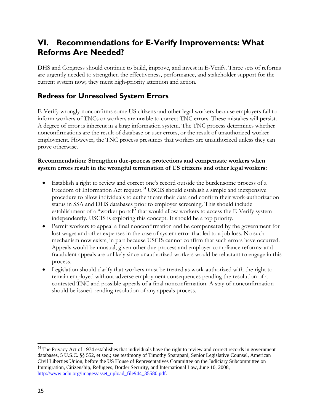## **VI. Recommendations for E-Verify Improvements: What Reforms Are Needed?**

DHS and Congress should continue to build, improve, and invest in E-Verify. Three sets of reforms are urgently needed to strengthen the effectiveness, performance, and stakeholder support for the current system now; they merit high-priority attention and action.

## **Redress for Unresolved System Errors**

E-Verify wrongly nonconfirms some US citizens and other legal workers because employers fail to inform workers of TNCs or workers are unable to correct TNC errors. These mistakes will persist. A degree of error is inherent in a large information system. The TNC process determines whether nonconfirmations are the result of database or user errors, or the result of unauthorized worker employment. However, the TNC process presumes that workers are unauthorized unless they can prove otherwise.

#### **Recommendation: Strengthen due-process protections and compensate workers when system errors result in the wrongful termination of US citizens and other legal workers:**

- Establish a right to review and correct one's record outside the burdensome process of a Freedom of Information Act request.<sup>54</sup> USCIS should establish a simple and inexpensive procedure to allow individuals to authenticate their data and confirm their work-authorization status in SSA and DHS databases prior to employer screening. This should include establishment of a "worker portal" that would allow workers to access the E-Verify system independently. USCIS is exploring this concept. It should be a top priority.
- Permit workers to appeal a final nonconfirmation and be compensated by the government for lost wages and other expenses in the case of system error that led to a job loss. No such mechanism now exists, in part because USCIS cannot confirm that such errors have occurred. Appeals would be unusual, given other due-process and employer compliance reforms; and fraudulent appeals are unlikely since unauthorized workers would be reluctant to engage in this process.
- Legislation should clarify that workers must be treated as work-authorized with the right to remain employed without adverse employment consequences pending the resolution of a contested TNC and possible appeals of a final nonconfirmation. A stay of nonconfirmation should be issued pending resolution of any appeals process.

 $\overline{a}$ 

 $54$  The Privacy Act of 1974 establishes that individuals have the right to review and correct records in government databases, 5 U.S.C. §§ 552, et seq.; see testimony of Timothy Sparapani, Senior Legislative Counsel, American Civil Liberties Union, before the US House of Representatives Committee on the Judiciary Subcommittee on Immigration, Citizenship, Refugees, Border Security, and International Law, June 10, 2008, http://www.aclu.org/images/asset\_upload\_file944\_35580.pdf.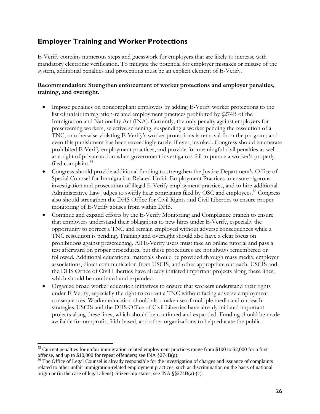## **Employer Training and Worker Protections**

E-Verify contains numerous steps and guesswork for employers that are likely to increase with mandatory electronic verification. To mitigate the potential for employer mistakes or misuse of the system, additional penalties and protections must be an explicit element of E-Verify.

#### **Recommendation: Strengthen enforcement of worker protections and employer penalties, training, and oversight.**

- Impose penalties on noncompliant employers by adding E-Verify worker protections to the list of unfair immigration-related employment practices prohibited by §274B of the Immigration and Nationality Act (INA). Currently, the only penalty against employers for prescreening workers, selective screening, suspending a worker pending the resolution of a TNC, or otherwise violating E-Verify's worker protections is removal from the program; and even this punishment has been exceedingly rarely, if ever, invoked. Congress should enumerate prohibited E-Verify employment practices, and provide for meaningful civil penalties as well as a right of private action when government investigators fail to pursue a worker's properly filed complaint.<sup>55</sup>
- Congress should provide additional funding to strengthen the Justice Department's Office of Special Counsel for Immigration-Related Unfair Employment Practices to ensure rigorous investigation and prosecution of illegal E-Verify employment practices, and to hire additional Administrative Law Judges to swiftly hear complaints filed by OSC and employees.<sup>56</sup> Congress also should strengthen the DHS Office for Civil Rights and Civil Liberties to ensure proper monitoring of E-Verify abuses from within DHS.
- Continue and expand efforts by the E-Verify Monitoring and Compliance branch to ensure that employers understand their obligations to new hires under E-Verify, especially the opportunity to correct a TNC and remain employed without adverse consequences while a TNC resolution is pending. Training and oversight should also have a clear focus on prohibitions against prescreening. All E-Verify users must take an online tutorial and pass a test afterward on proper procedures, but these procedures are not always remembered or followed. Additional educational materials should be provided through mass media, employer associations, direct communication from USCIS, and other appropriate outreach. USCIS and the DHS Office of Civil Liberties have already initiated important projects along these lines, which should be continued and expanded.
- Organize broad worker education initiatives to ensure that workers understand their rights under E-Verify, especially the right to correct a TNC without facing adverse employment consequences. Worker education should also make use of multiple media and outreach strategies. USCIS and the DHS Office of Civil Liberties have already initiated important projects along these lines, which should be continued and expanded. Funding should be made available for nonprofit, faith-based, and other organizations to help educate the public.

1

<sup>&</sup>lt;sup>55</sup> Current penalties for unfair immigration-related employment practices range from \$100 to \$2,000 for a first offense, and up to \$10,000 for repeat offenders; see INA §274B(g).

<sup>&</sup>lt;sup>56</sup> The Office of Legal Counsel is already responsible for the investigation of charges and issuance of complaints related to other unfair immigration-related employment practices, such as discrimination on the basis of national origin or (in the case of legal aliens) citizenship status; see INA §§274B(a)-(c).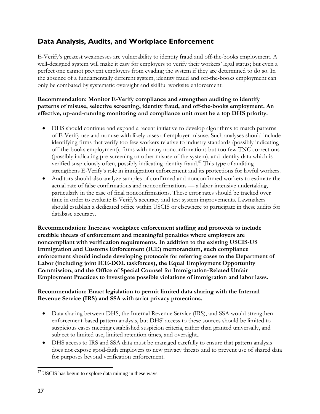## **Data Analysis, Audits, and Workplace Enforcement**

E-Verify's greatest weaknesses are vulnerability to identity fraud and off-the-books employment. A well-designed system will make it easy for employers to verify their workers' legal status; but even a perfect one cannot prevent employers from evading the system if they are determined to do so. In the absence of a fundamentally different system, identity fraud and off-the-books employment can only be combated by systematic oversight and skillful worksite enforcement.

#### **Recommendation: Monitor E-Verify compliance and strengthen auditing to identify patterns of misuse, selective screening, identity fraud, and off-the-books employment. An effective, up-and-running monitoring and compliance unit must be a top DHS priority.**

- DHS should continue and expand a recent initiative to develop algorithms to match patterns of E-Verify use and nonuse with likely cases of employer misuse. Such analyses should include identifying firms that verify too few workers relative to industry standards (possibly indicating off-the-books employment), firms with many nonconfirmations but too few TNC corrections (possibly indicating pre-screening or other misuse of the system), and identity data which is verified suspiciously often, possibly indicating identity fraud.<sup>57</sup> This type of auditing strengthens E-Verify's role in immigration enforcement and its protections for lawful workers.
- Auditors should also analyze samples of confirmed and nonconfirmed workers to estimate the actual rate of false confirmations and nonconfirmations — a labor-intensive undertaking, particularly in the case of final nonconfirmations. These error rates should be tracked over time in order to evaluate E-Verify's accuracy and test system improvements. Lawmakers should establish a dedicated office within USCIS or elsewhere to participate in these audits for database accuracy.

**Recommendation: Increase workplace enforcement staffing and protocols to include credible threats of enforcement and meaningful penalties where employers are noncompliant with verification requirements. In addition to the existing USCIS-US Immigration and Customs Enforcement (ICE) memorandum, such compliance enforcement should include developing protocols for referring cases to the Department of Labor (including joint ICE-DOL taskforces), the Equal Employment Opportunity Commission, and the Office of Special Counsel for Immigration-Related Unfair Employment Practices to investigate possible violations of immigration and labor laws.** 

#### **Recommendation: Enact legislation to permit limited data sharing with the Internal Revenue Service (IRS) and SSA with strict privacy protections.**

- Data sharing between DHS, the Internal Revenue Service (IRS), and SSA would strengthen enforcement-based pattern analysis, but DHS' access to these sources should be limited to suspicious cases meeting established suspicion criteria, rather than granted universally, and subject to limited use, limited retention times, and oversight..
- DHS access to IRS and SSA data must be managed carefully to ensure that pattern analysis does not expose good-faith employers to new privacy threats and to prevent use of shared data for purposes beyond verification enforcement.

 $\overline{a}$ <sup>57</sup> USCIS has begun to explore data mining in these ways.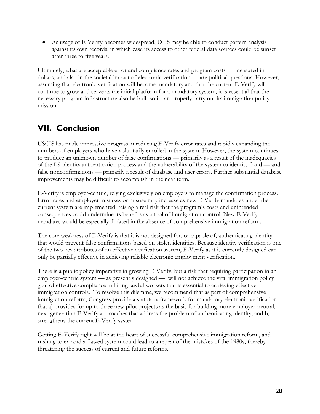As usage of E-Verify becomes widespread, DHS may be able to conduct pattern analysis against its own records, in which case its access to other federal data sources could be sunset after three to five years.

Ultimately, what are acceptable error and compliance rates and program costs — measured in dollars, and also in the societal impact of electronic verification — are political questions. However, assuming that electronic verification will become mandatory and that the current E-Verify will continue to grow and serve as the initial platform for a mandatory system, it is essential that the necessary program infrastructure also be built so it can properly carry out its immigration policy mission.

# **VII. Conclusion**

USCIS has made impressive progress in reducing E-Verify error rates and rapidly expanding the numbers of employers who have voluntarily enrolled in the system. However, the system continues to produce an unknown number of false confirmations — primarily as a result of the inadequacies of the I-9 identity authentication process and the vulnerability of the system to identity fraud — and false nonconfirmations — primarily a result of database and user errors. Further substantial database improvements may be difficult to accomplish in the near term.

E-Verify is employer-centric, relying exclusively on employers to manage the confirmation process. Error rates and employer mistakes or misuse may increase as new E-Verify mandates under the current system are implemented, raising a real risk that the program's costs and unintended consequences could undermine its benefits as a tool of immigration control. New E-Verify mandates would be especially ill-fated in the absence of comprehensive immigration reform.

The core weakness of E-Verify is that it is not designed for, or capable of, authenticating identity that would prevent false confirmations based on stolen identities. Because identity verification is one of the two key attributes of an effective verification system, E-Verify as it is currently designed can only be partially effective in achieving reliable electronic employment verification.

There is a public policy imperative in growing E-Verify, but a risk that requiring participation in an employer-centric system — as presently designed — will not achieve the vital immigration policy goal of effective compliance in hiring lawful workers that is essential to achieving effective immigration controls. To resolve this dilemma, we recommend that as part of comprehensive immigration reform, Congress provide a statutory framework for mandatory electronic verification that a) provides for up to three new pilot projects as the basis for building more employer-neutral, next-generation E-Verify approaches that address the problem of authenticating identity; and b) strengthens the current E-Verify system.

Getting E-Verify right will be at the heart of successful comprehensive immigration reform, and rushing to expand a flawed system could lead to a repeat of the mistakes of the 1980s**,** thereby threatening the success of current and future reforms.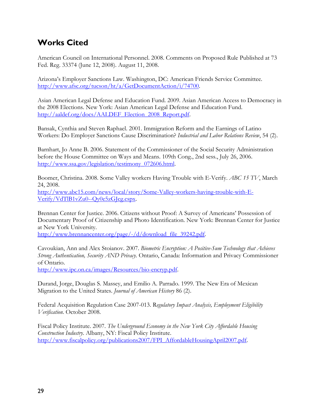# **Works Cited**

American Council on International Personnel. 2008. Comments on Proposed Rule Published at 73 Fed. Reg. 33374 (June 12, 2008). August 11, 2008.

Arizona's Employer Sanctions Law. Washington, DC: American Friends Service Committee. http://www.afsc.org/tucson/ht/a/GetDocumentAction/i/74700.

Asian American Legal Defense and Education Fund. 2009. Asian American Access to Democracy in the 2008 Elections. New York: Asian American Legal Defense and Education Fund. http://aaldef.org/docs/AALDEF\_Election\_2008\_Report.pdf.

Bansak, Cynthia and Steven Raphael. 2001. Immigration Reform and the Earnings of Latino Workers: Do Employer Sanctions Cause Discrimination? *Industrial and Labor Relations Review*, 54 (2).

Barnhart, Jo Anne B. 2006. Statement of the Commissioner of the Social Security Administration before the House Committee on Ways and Means. 109th Cong., 2nd sess., July 26, 2006. http://www.ssa.gov/legislation/testimony\_072606.html.

Boomer, Christina. 2008. Some Valley workers Having Trouble with E-Verify. *ABC 15 TV*, March 24, 2008. http://www.abc15.com/news/local/story/Some-Valley-workers-having-trouble-with-E-Verify/VdTlB1vZu0--Qy0e5zGJcg.cspx.

Brennan Center for Justice. 2006. Citizens without Proof: A Survey of Americans' Possession of Documentary Proof of Citizenship and Photo Identification. New York: Brennan Center for Justice at New York University.

http://www.brennancenter.org/page/-/d/download\_file\_39242.pdf.

Cavoukian, Ann and Alex Stoianov. 2007. *Biometric Encryption: A Positive-Sum Technology that Achieves Strong Authentication, Security AND Privacy*. Ontario, Canada: Information and Privacy Commissioner of Ontario.

http://www.ipc.on.ca/images/Resources/bio-encryp.pdf.

Durand, Jorge, Douglas S. Massey, and Emilio A. Parrado. 1999. The New Era of Mexican Migration to the United States. *Journal of American History* 86 (2).

Federal Acquisition Regulation Case 2007-013. R*egulatory Impact Analysis, Employment Eligibility Verification*. October 2008.

Fiscal Policy Institute. 2007. *The Underground Economy in the New York City Affordable Housing Construction Industry*. Albany, NY: Fiscal Policy Institute. http://www.fiscalpolicy.org/publications2007/FPI\_AffordableHousingApril2007.pdf.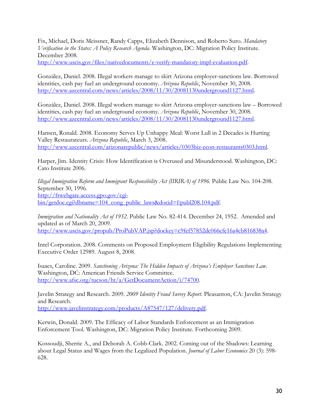Fix, Michael, Doris Meissner, Randy Capps, Elizabeth Dennison, and Roberto Suro. *Mandatory Verification in the States: A Policy Research Agenda*. Washington, DC: Migration Policy Institute. December 2008.

http://www.uscis.gov/files/nativedocuments/e-verify-mandatory-impl-evaluation.pdf.

González, Daniel. 2008. Illegal workers manage to skirt Arizona employer-sanctions law. Borrowed identities, cash pay fuel an underground economy. *Arizona Republic*, November 30, 2008. http://www.azcentral.com/news/articles/2008/11/30/20081130underground1127.html.

González, Daniel. 2008. Illegal workers manage to skirt Arizona employer-sanctions law – Borrowed identities, cash pay fuel an underground economy. *Arizona Republic*, November 30, 2008. http://www.azcentral.com/news/articles/2008/11/30/20081130underground1127.html.

Hansen, Ronald. 2008. Economy Serves Up Unhappy Meal: Worst Lull in 2 Decades is Hurting Valley Restaurateurs. *Arizona Republic*, March 3, 2008. http://www.azcentral.com/arizonarepublic/news/articles/0303biz-econ-restaurants0303.html.

Harper, Jim. Identity Crisis: How Identification is Overused and Misunderstood. Washington, DC: Cato Institute 2006.

*Illegal Immigration Reform and Immigrant Responsibility Act (IIRIRA) of 1996. Public Law No. 104-208.* September 30, 1996. http://frwebgate.access.gpo.gov/cgibin/getdoc.cgi?dbname=104\_cong\_public\_laws&docid=f:publ208.104.pdf.

*Immigration and Nationality Act of 1952*. Public Law No. 82-414. December 24, 1952. Amended and updated as of March 20, 2009. http://www.uscis.gov/propub/ProPubVAP.jsp?dockey=c9fef57852dc066cfe16a4cb816838a4.

Intel Corporation. 2008. Comments on Proposed Employment Eligibility Regulations Implementing Executive Order 12989. August 8, 2008.

Isaacs, Caroline. 2009. *Sanctioning Arizona: The Hidden Impacts of Arizona's Employer Sanctions Law*. Washington, DC: American Friends Service Committee. http://www.afsc.org/tucson/ht/a/GetDocumentAction/i/74700.

Javelin Strategy and Research. 2009. *2009 Identity Fraud Survey Report*. Pleasanton, CA: Javelin Strategy and Research. http://www.javelinstrategy.com/products/A87547/127/delivery.pdf.

Kerwin, Donald. 2009. The Efficacy of Labor Standards Enforcement as an Immigration Enforcement Tool. Washington, DC: Migration Policy Institute. Forthcoming 2009.

Kossoudji, Sherrie A., and Deborah A. Cobb-Clark. 2002. Coming out of the Shadows: Learning about Legal Status and Wages from the Legalized Population. *Journal of Labor Economics* 20 (3): 598- 628.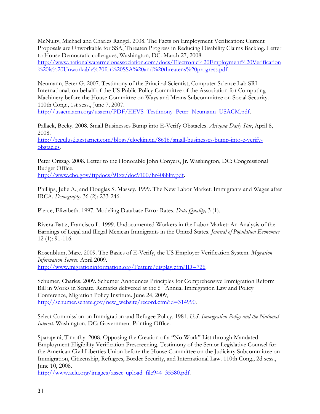McNulty, Michael and Charles Rangel. 2008. The Facts on Employment Verification: Current Proposals are Unworkable for SSA, Threaten Progress in Reducing Disability Claims Backlog. Letter to House Democratic colleagues, Washington, DC. March 27, 2008. http://www.nationalwatermelonassociation.com/docs/Electronic%20Employment%20Verification %20is%20Unworkable%20for%20SSA%20and%20threatens%20progress.pdf.

Neumann, Peter G. 2007. Testimony of the Principal Scientist, Computer Science Lab SRI International, on behalf of the US Public Policy Committee of the Association for Computing Machinery before the House Committee on Ways and Means Subcommittee on Social Security. 110th Cong., 1st sess., June 7, 2007.

http://usacm.acm.org/usacm/PDF/EEVS Testimony Peter Neumann USACM.pdf.

Pallack, Becky. 2008. Small Businesses Bump into E-Verify Obstacles. *Arizona Daily Star*, April 8, 2008.

http://regulus2.azstarnet.com/blogs/clockingin/8616/small-businesses-bump-into-e-verifyobstacles.

Peter Orszag. 2008. Letter to the Honorable John Conyers, Jr. Washington, DC: Congressional Budget Office.

http://www.cbo.gov/ftpdocs/91xx/doc9100/hr4088ltr.pdf.

Phillips, Julie A., and Douglas S. Massey. 1999. The New Labor Market: Immigrants and Wages after IRCA. *Demography* 36 (2): 233-246.

Pierce, Elizabeth. 1997. Modeling Database Error Rates. *Data Quality,* 3 (1).

Rivera-Batiz, Francisco L. 1999. Undocumented Workers in the Labor Market: An Analysis of the Earnings of Legal and Illegal Mexican Immigrants in the United States. *Journal of Population Economics* 12 (1): 91-116.

Rosenblum, Marc. 2009. The Basics of E-Verify, the US Employer Verification System. *Migration Information Source*. April 2009. http://www.migrationinformation.org/Feature/display.cfm?ID=726.

Schumer, Charles. 2009. Schumer Announces Principles for Comprehensive Immigration Reform Bill in Works in Senate. Remarks delivered at the  $6<sup>th</sup>$  Annual Immigration Law and Policy Conference, Migration Policy Institute. June 24, 2009, http://schumer.senate.gov/new\_website/record.cfm?id=314990.

Select Commission on Immigration and Refugee Policy. 1981. *U.S. Immigration Policy and the National Interest.* Washington, DC: Government Printing Office.

Sparapani, Timothy. 2008. Opposing the Creation of a "No-Work" List through Mandated Employment Eligibility Verification Prescreening. Testimony of the Senior Legislative Counsel for the American Civil Liberties Union before the House Committee on the Judiciary Subcommittee on Immigration, Citizenship, Refugees, Border Security, and International Law. 110th Cong., 2d sess., June 10, 2008.

http://www.aclu.org/images/asset\_upload\_file944\_35580.pdf.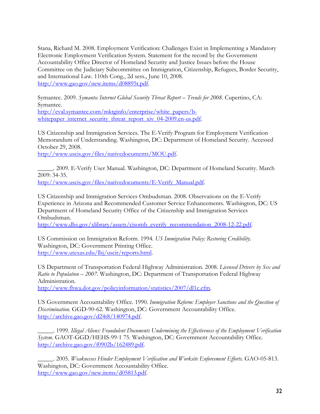Stana, Richard M. 2008. Employment Verification: Challenges Exist in Implementing a Mandatory Electronic Employment Verification System. Statement for the record by the Government Accountability Office Director of Homeland Security and Justice Issues before the House Committee on the Judiciary Subcommittee on Immigration, Citizenship, Refugees, Border Security, and International Law. 110th Cong., 2d sess., June 10, 2008. http://www.gao.gov/new.items/d08895t.pdf.

Symantec. 2009. *Symantec Internet Global Security Threat Report – Trends for 2008*. Cupertino, CA: Symantec.

http://eval.symantec.com/mktginfo/enterprise/white\_papers/bwhitepaper\_internet\_security\_threat\_report\_xiv\_04-2009.en-us.pdf.

US Citizenship and Immigration Services. The E-Verify Program for Employment Verification Memorandum of Understanding. Washington, DC: Department of Homeland Security. Accessed October 29, 2008.

http://www.uscis.gov/files/nativedocuments/MOU.pdf.

\_\_\_\_\_. 2009. E-Verify User Manual. Washington, DC: Department of Homeland Security. March 2009: 34-35. http://www.uscis.gov/files/nativedocuments/E-Verify\_Manual.pdf.

US Citizenship and Immigration Services Ombudsman. 2008. Observations on the E-Verify Experience in Arizona and Recommended Customer Service Enhancements. Washington, DC: US Department of Homeland Security Office of the Citizenship and Immigration Services Ombudsman.

http://www.dhs.gov/xlibrary/assets/cisomb\_everify\_recommendation\_2008-12-22.pdf.

US Commission on Immigration Reform. 1994. *US Immigration Policy: Restoring Credibility*. Washington, DC: Government Printing Office. http://www.utexas.edu/lbj/uscir/reports.html.

US Department of Transportation Federal Highway Administration. 2008. *Licensed Drivers by Sex and Ratio to Population – 2007*. Washington, DC: Department of Transportation Federal Highway Administration.

http://www.fhwa.dot.gov/policyinformation/statistics/2007/dl1c.cfm.

US Government Accountability Office. 1990. *Immigration Reform: Employer Sanctions and the Question of Discrimination.* GGD-90-62. Washington, DC: Government Accountability Office. http://archive.gao.gov/d24t8/140974.pdf.

\_\_\_\_\_. 1999. *Illegal Aliens: Fraudulent Documents Undermining the Effectiveness of the Employment Verification System*. GAOT-GGD/HEHS-99-1 75. Washington, DC: Government Accountability Office. http://archive.gao.gov/f0902b/162489.pdf.

\_\_\_\_\_. 2005. *Weaknesses Hinder Employment Verification and Worksite Enforcement Efforts*. GAO-05-813. Washington, DC: Government Accountability Office. http://www.gao.gov/new.items/d05813.pdf.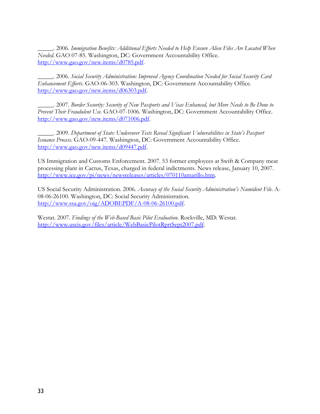\_\_\_\_\_. 2006. *Immigration Benefits: Additional Efforts Needed to Help Ensure Alien Files Are Located When Needed*. GAO 07-85. Washington, DC: Government Accountability Office. http://www.gao.gov/new.items/d0785.pdf.

\_\_\_\_\_. 2006. *Social Security Administration: Improved Agency Coordination Needed for Social Security Card Enhancement Efforts*. GAO-06-303. Washington, DC: Government Accountability Office. http://www.gao.gov/new.items/d06303.pdf.

\_\_\_\_\_. 2007. *Border Security: Security of New Passports and Visas Enhanced, but More Needs to Be Done to Prevent Their Fraudulent Use*. GAO-07-1006. Washington, DC: Government Accountability Office. http://www.gao.gov/new.items/d071006.pdf.

\_\_\_\_\_. 2009. *Department of State: Undercover Tests Reveal Significant Vulnerabilities in State's Passport Issuance Process*. GAO-09-447. Washington, DC: Government Accountability Office. http://www.gao.gov/new.items/d09447.pdf.

US Immigration and Customs Enforcement. 2007. 53 former employees at Swift & Company meat processing plant in Cactus, Texas, charged in federal indictments. News release, January 10, 2007. http://www.ice.gov/pi/news/newsreleases/articles/070110amarillo.htm.

US Social Security Administration. 2006. *Accuracy of the Social Security Administration's Numident File*. A-08-06-26100. Washington, DC: Social Security Administration. http://www.ssa.gov/oig/ADOBEPDF/A-08-06-26100.pdf.

Westat. 2007. *Findings of the Web-Based Basic Pilot Evaluation*. Rockville, MD: Westat. http://www.uscis.gov/files/article/WebBasicPilotRprtSept2007.pdf.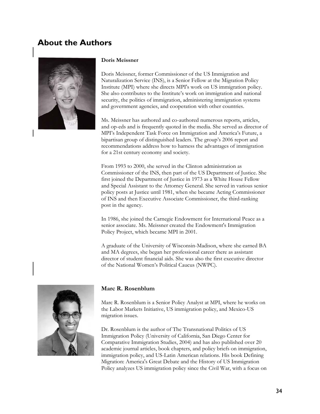## **About the Authors**



#### **Doris Meissner**

Doris Meissner, former Commissioner of the US Immigration and Naturalization Service (INS), is a Senior Fellow at the Migration Policy Institute (MPI) where she directs MPI's work on US immigration policy. She also contributes to the Institute's work on immigration and national security, the politics of immigration, administering immigration systems and government agencies, and cooperation with other countries.

Ms. Meissner has authored and co-authored numerous reports, articles, and op-eds and is frequently quoted in the media. She served as director of MPI's Independent Task Force on Immigration and America's Future, a bipartisan group of distinguished leaders. The group's 2006 report and recommendations address how to harness the advantages of immigration for a 21st century economy and society.

From 1993 to 2000, she served in the Clinton administration as Commissioner of the INS, then part of the US Department of Justice. She first joined the Department of Justice in 1973 as a White House Fellow and Special Assistant to the Attorney General. She served in various senior policy posts at Justice until 1981, when she became Acting Commissioner of INS and then Executive Associate Commissioner, the third-ranking post in the agency.

In 1986, she joined the Carnegie Endowment for International Peace as a senior associate. Ms. Meissner created the Endowment's Immigration Policy Project, which became MPI in 2001.

A graduate of the University of Wisconsin-Madison, where she earned BA and MA degrees, she began her professional career there as assistant director of student financial aids. She was also the first executive director of the National Women's Political Caucus (NWPC).



#### **Marc R. Rosenblum**

Marc R. Rosenblum is a Senior Policy Analyst at MPI, where he works on the Labor Markets Initiative, US immigration policy, and Mexico-US migration issues.

Dr. Rosenblum is the author of The Transnational Politics of US Immigration Policy (University of California, San Diego Center for Comparative Immigration Studies, 2004) and has also published over 20 academic journal articles, book chapters, and policy briefs on immigration, immigration policy, and US-Latin American relations. His book Defining Migration: America's Great Debate and the History of US Immigration Policy analyzes US immigration policy since the Civil War, with a focus on